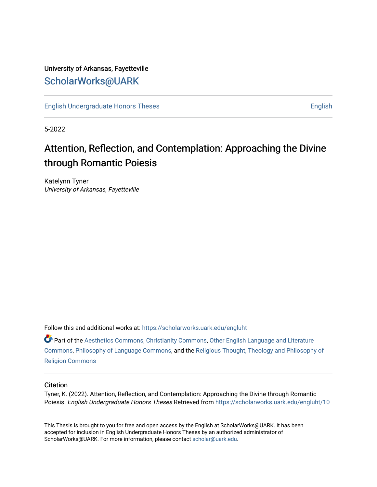## University of Arkansas, Fayetteville [ScholarWorks@UARK](https://scholarworks.uark.edu/)

[English Undergraduate Honors Theses](https://scholarworks.uark.edu/engluht) **English** English

5-2022

## Attention, Reflection, and Contemplation: Approaching the Divine through Romantic Poiesis

Katelynn Tyner University of Arkansas, Fayetteville

Follow this and additional works at: [https://scholarworks.uark.edu/engluht](https://scholarworks.uark.edu/engluht?utm_source=scholarworks.uark.edu%2Fengluht%2F10&utm_medium=PDF&utm_campaign=PDFCoverPages)

Part of the [Aesthetics Commons,](http://network.bepress.com/hgg/discipline/528?utm_source=scholarworks.uark.edu%2Fengluht%2F10&utm_medium=PDF&utm_campaign=PDFCoverPages) [Christianity Commons](http://network.bepress.com/hgg/discipline/1181?utm_source=scholarworks.uark.edu%2Fengluht%2F10&utm_medium=PDF&utm_campaign=PDFCoverPages), [Other English Language and Literature](http://network.bepress.com/hgg/discipline/462?utm_source=scholarworks.uark.edu%2Fengluht%2F10&utm_medium=PDF&utm_campaign=PDFCoverPages)  [Commons](http://network.bepress.com/hgg/discipline/462?utm_source=scholarworks.uark.edu%2Fengluht%2F10&utm_medium=PDF&utm_campaign=PDFCoverPages), [Philosophy of Language Commons](http://network.bepress.com/hgg/discipline/534?utm_source=scholarworks.uark.edu%2Fengluht%2F10&utm_medium=PDF&utm_campaign=PDFCoverPages), and the [Religious Thought, Theology and Philosophy of](http://network.bepress.com/hgg/discipline/544?utm_source=scholarworks.uark.edu%2Fengluht%2F10&utm_medium=PDF&utm_campaign=PDFCoverPages) [Religion Commons](http://network.bepress.com/hgg/discipline/544?utm_source=scholarworks.uark.edu%2Fengluht%2F10&utm_medium=PDF&utm_campaign=PDFCoverPages)

### **Citation**

Tyner, K. (2022). Attention, Reflection, and Contemplation: Approaching the Divine through Romantic Poiesis. English Undergraduate Honors Theses Retrieved from [https://scholarworks.uark.edu/engluht/10](https://scholarworks.uark.edu/engluht/10?utm_source=scholarworks.uark.edu%2Fengluht%2F10&utm_medium=PDF&utm_campaign=PDFCoverPages) 

This Thesis is brought to you for free and open access by the English at ScholarWorks@UARK. It has been accepted for inclusion in English Undergraduate Honors Theses by an authorized administrator of ScholarWorks@UARK. For more information, please contact [scholar@uark.edu](mailto:scholar@uark.edu).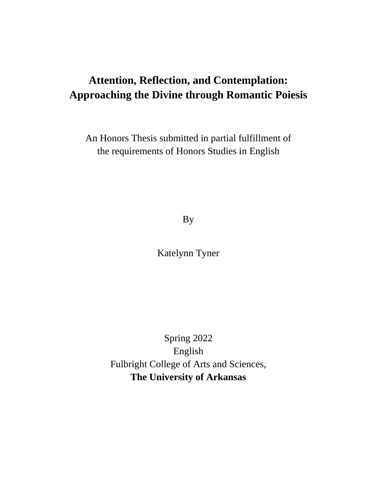# **Attention, Reflection, and Contemplation: Approaching the Divine through Romantic Poiesis**

An Honors Thesis submitted in partial fulfillment of the requirements of Honors Studies in English

By

Katelynn Tyner

Spring 2022 English Fulbright College of Arts and Sciences, **The University of Arkansas**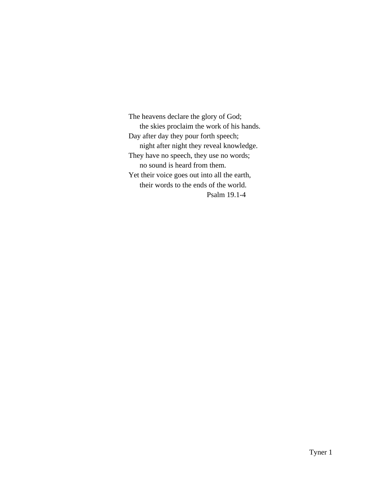The heavens declare the glory of God; the skies proclaim the work of his hands. Day after day they pour forth speech; night after night they reveal knowledge. They have no speech, they use no words; no sound is heard from them. Yet their voice goes out into all the earth, their words to the ends of the world. Psalm 19.1-4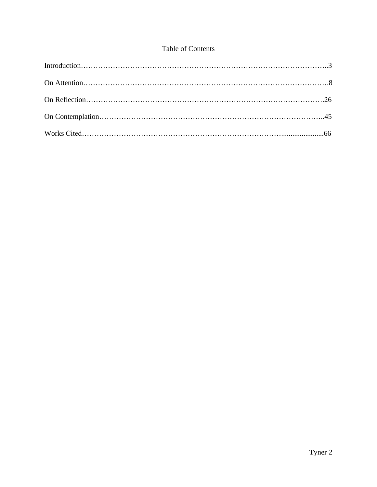## Table of Contents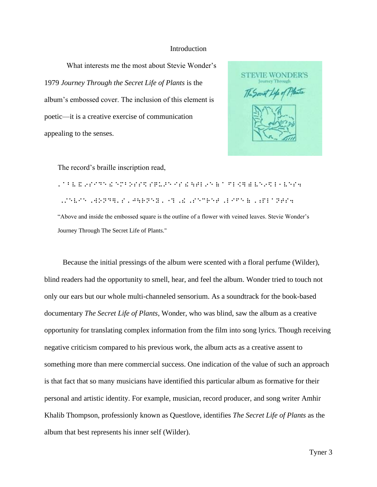#### **Introduction**

What interests me the most about Stevie Wonder's 1979 *Journey Through the Secret Life of Plants* is the album's embossed cover. The inclusion of this element is poetic—it is a creative exercise of communication appealing to the senses.

**STEVIE WONDER'S** The Secret Life of Planta

The record's braille inscription read,

⠄⠁⠃⠧ ⠯ ⠔⠎⠊⠙⠑ ⠮ ⠑⠍⠃⠕⠎⠎⠫ ⠎⠟⠥⠜⠑ ⠊⠎ ⠮ ⠳⠞⠇⠔⠑ ⠷ ⠁ ⠋⠇⠪⠻ ⠾ ⠧⠑⠔⠫ ⠇⠂⠧⠑⠎⠲ ⠠⠌⠑⠧⠊⠑ ⠠⠺⠕⠝⠙⠻⠄⠎ ⠄⠚⠳⠗⠝⠑⠽ ⠄⠐⠹ ⠠⠮ ⠠⠎⠑⠉⠗⠑⠞ ⠠⠇⠊⠋⠑ ⠷ ⠠⠰⠏⠇⠁⠝⠞⠎⠲ "Above and inside the embossed square is the outline of a flower with veined leaves. Stevie Wonder's Journey Through The Secret Life of Plants."

 Because the initial pressings of the album were scented with a floral perfume (Wilder), blind readers had the opportunity to smell, hear, and feel the album. Wonder tried to touch not only our ears but our whole multi-channeled sensorium. As a soundtrack for the book-based documentary *The Secret Life of Plants*, Wonder, who was blind, saw the album as a creative opportunity for translating complex information from the film into song lyrics. Though receiving negative criticism compared to his previous work, the album acts as a creative assent to something more than mere commercial success. One indication of the value of such an approach is that fact that so many musicians have identified this particular album as formative for their personal and artistic identity. For example, musician, record producer, and song writer Amhir Khalib Thompson, professionly known as Questlove, identifies *The Secret Life of Plants* as the album that best represents his inner self (Wilder).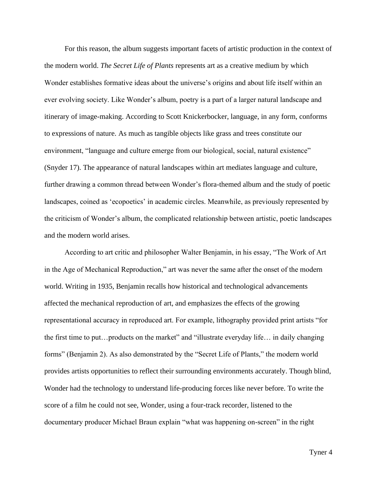For this reason, the album suggests important facets of artistic production in the context of the modern world. *The Secret Life of Plants* represents art as a creative medium by which Wonder establishes formative ideas about the universe's origins and about life itself within an ever evolving society. Like Wonder's album, poetry is a part of a larger natural landscape and itinerary of image-making. According to Scott Knickerbocker, language, in any form, conforms to expressions of nature. As much as tangible objects like grass and trees constitute our environment, "language and culture emerge from our biological, social, natural existence" (Snyder 17). The appearance of natural landscapes within art mediates language and culture, further drawing a common thread between Wonder's flora-themed album and the study of poetic landscapes, coined as 'ecopoetics' in academic circles. Meanwhile, as previously represented by the criticism of Wonder's album, the complicated relationship between artistic, poetic landscapes and the modern world arises.

According to art critic and philosopher Walter Benjamin, in his essay, "The Work of Art in the Age of Mechanical Reproduction," art was never the same after the onset of the modern world. Writing in 1935, Benjamin recalls how historical and technological advancements affected the mechanical reproduction of art, and emphasizes the effects of the growing representational accuracy in reproduced art. For example, lithography provided print artists "for the first time to put…products on the market" and "illustrate everyday life… in daily changing forms" (Benjamin 2). As also demonstrated by the "Secret Life of Plants," the modern world provides artists opportunities to reflect their surrounding environments accurately. Though blind, Wonder had the technology to understand life-producing forces like never before. To write the score of a film he could not see, Wonder, using a four-track recorder, listened to the documentary producer Michael Braun explain "what was happening on-screen" in the right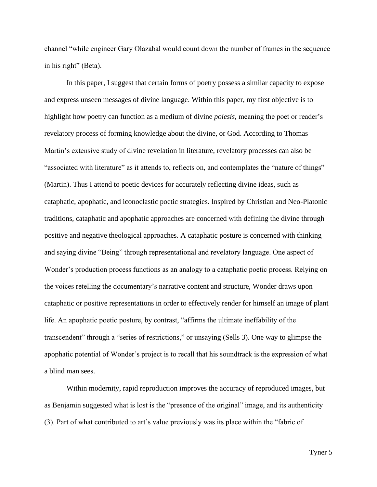channel "while engineer Gary Olazabal would count down the number of frames in the sequence in his right" (Beta).

In this paper, I suggest that certain forms of poetry possess a similar capacity to expose and express unseen messages of divine language. Within this paper, my first objective is to highlight how poetry can function as a medium of divine *poiesis,* meaning the poet or reader's revelatory process of forming knowledge about the divine, or God. According to Thomas Martin's extensive study of divine revelation in literature, revelatory processes can also be "associated with literature" as it attends to, reflects on, and contemplates the "nature of things" (Martin). Thus I attend to poetic devices for accurately reflecting divine ideas, such as cataphatic, apophatic, and iconoclastic poetic strategies. Inspired by Christian and Neo-Platonic traditions, cataphatic and apophatic approaches are concerned with defining the divine through positive and negative theological approaches. A cataphatic posture is concerned with thinking and saying divine "Being" through representational and revelatory language. One aspect of Wonder's production process functions as an analogy to a cataphatic poetic process. Relying on the voices retelling the documentary's narrative content and structure, Wonder draws upon cataphatic or positive representations in order to effectively render for himself an image of plant life. An apophatic poetic posture, by contrast, "affirms the ultimate ineffability of the transcendent" through a "series of restrictions," or unsaying (Sells 3). One way to glimpse the apophatic potential of Wonder's project is to recall that his soundtrack is the expression of what a blind man sees.

Within modernity, rapid reproduction improves the accuracy of reproduced images, but as Benjamin suggested what is lost is the "presence of the original" image, and its authenticity (3). Part of what contributed to art's value previously was its place within the "fabric of

Tyner 5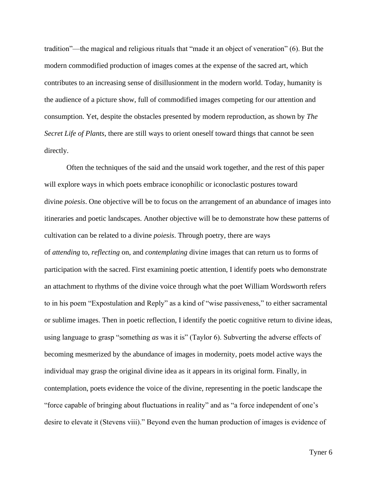tradition"—the magical and religious rituals that "made it an object of veneration" (6). But the modern commodified production of images comes at the expense of the sacred art, which contributes to an increasing sense of disillusionment in the modern world. Today, humanity is the audience of a picture show, full of commodified images competing for our attention and consumption. Yet, despite the obstacles presented by modern reproduction, as shown by *The Secret Life of Plants*, there are still ways to orient oneself toward things that cannot be seen directly.

Often the techniques of the said and the unsaid work together, and the rest of this paper will explore ways in which poets embrace iconophilic or iconoclastic postures toward divine *poiesis*. One objective will be to focus on the arrangement of an abundance of images into itineraries and poetic landscapes. Another objective will be to demonstrate how these patterns of cultivation can be related to a divine *poiesis*. Through poetry, there are ways of *attending* to, *reflecting* on, and *contemplating* divine images that can return us to forms of participation with the sacred. First examining poetic attention, I identify poets who demonstrate an attachment to rhythms of the divine voice through what the poet William Wordsworth refers to in his poem "Expostulation and Reply" as a kind of "wise passiveness," to either sacramental or sublime images. Then in poetic reflection, I identify the poetic cognitive return to divine ideas, using language to grasp "something *as* was it is" (Taylor 6). Subverting the adverse effects of becoming mesmerized by the abundance of images in modernity, poets model active ways the individual may grasp the original divine idea as it appears in its original form. Finally, in contemplation, poets evidence the voice of the divine, representing in the poetic landscape the "force capable of bringing about fluctuations in reality" and as "a force independent of one's desire to elevate it (Stevens viii)." Beyond even the human production of images is evidence of

Tyner 6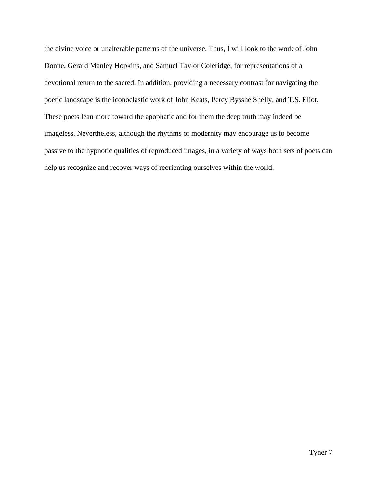the divine voice or unalterable patterns of the universe. Thus, I will look to the work of John Donne, Gerard Manley Hopkins, and Samuel Taylor Coleridge, for representations of a devotional return to the sacred. In addition, providing a necessary contrast for navigating the poetic landscape is the iconoclastic work of John Keats, Percy Bysshe Shelly, and T.S. Eliot. These poets lean more toward the apophatic and for them the deep truth may indeed be imageless. Nevertheless, although the rhythms of modernity may encourage us to become passive to the hypnotic qualities of reproduced images, in a variety of ways both sets of poets can help us recognize and recover ways of reorienting ourselves within the world.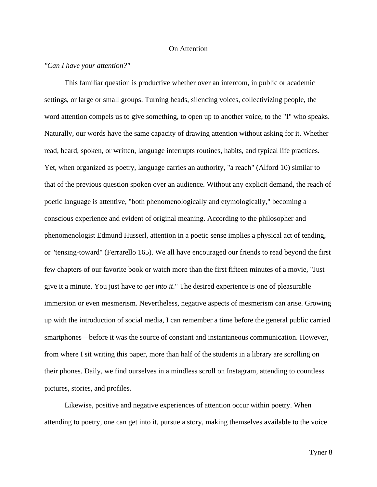## On Attention

## *"Can I have your attention?"*

This familiar question is productive whether over an intercom, in public or academic settings, or large or small groups. Turning heads, silencing voices, collectivizing people, the word attention compels us to give something, to open up to another voice, to the "I" who speaks. Naturally, our words have the same capacity of drawing attention without asking for it. Whether read, heard, spoken, or written, language interrupts routines, habits, and typical life practices. Yet, when organized as poetry, language carries an authority, "a reach" (Alford 10) similar to that of the previous question spoken over an audience. Without any explicit demand, the reach of poetic language is attentive, "both phenomenologically and etymologically," becoming a conscious experience and evident of original meaning. According to the philosopher and phenomenologist Edmund Husserl, attention in a poetic sense implies a physical act of tending, or "tensing-toward" (Ferrarello 165). We all have encouraged our friends to read beyond the first few chapters of our favorite book or watch more than the first fifteen minutes of a movie, "Just give it a minute. You just have to *get into it*." The desired experience is one of pleasurable immersion or even mesmerism. Nevertheless, negative aspects of mesmerism can arise. Growing up with the introduction of social media, I can remember a time before the general public carried smartphones—before it was the source of constant and instantaneous communication. However, from where I sit writing this paper, more than half of the students in a library are scrolling on their phones. Daily, we find ourselves in a mindless scroll on Instagram, attending to countless pictures, stories, and profiles.

Likewise, positive and negative experiences of attention occur within poetry. When attending to poetry, one can get into it, pursue a story, making themselves available to the voice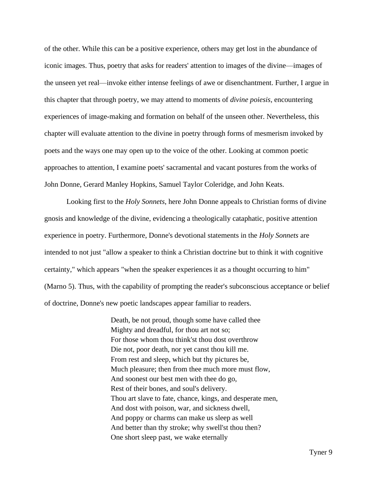of the other. While this can be a positive experience, others may get lost in the abundance of iconic images. Thus, poetry that asks for readers' attention to images of the divine—images of the unseen yet real—invoke either intense feelings of awe or disenchantment. Further, I argue in this chapter that through poetry, we may attend to moments of *divine poiesis*, encountering experiences of image-making and formation on behalf of the unseen other. Nevertheless, this chapter will evaluate attention to the divine in poetry through forms of mesmerism invoked by poets and the ways one may open up to the voice of the other. Looking at common poetic approaches to attention, I examine poets' sacramental and vacant postures from the works of John Donne, Gerard Manley Hopkins, Samuel Taylor Coleridge, and John Keats.

Looking first to the *Holy Sonnets*, here John Donne appeals to Christian forms of divine gnosis and knowledge of the divine, evidencing a theologically cataphatic, positive attention experience in poetry. Furthermore, Donne's devotional statements in the *Holy Sonnets* are intended to not just "allow a speaker to think a Christian doctrine but to think it with cognitive certainty," which appears "when the speaker experiences it as a thought occurring to him" (Marno 5). Thus, with the capability of prompting the reader's subconscious acceptance or belief of doctrine, Donne's new poetic landscapes appear familiar to readers.

> Death, be not proud, though some have called thee Mighty and dreadful, for thou art not so; For those whom thou think'st thou dost overthrow Die not, poor death, nor yet canst thou kill me. From rest and sleep, which but thy pictures be, Much pleasure; then from thee much more must flow, And soonest our best men with thee do go, Rest of their bones, and soul's delivery. Thou art slave to fate, chance, kings, and desperate men, And dost with poison, war, and sickness dwell, And poppy or charms can make us sleep as well And better than thy stroke; why swell'st thou then? One short sleep past, we wake eternally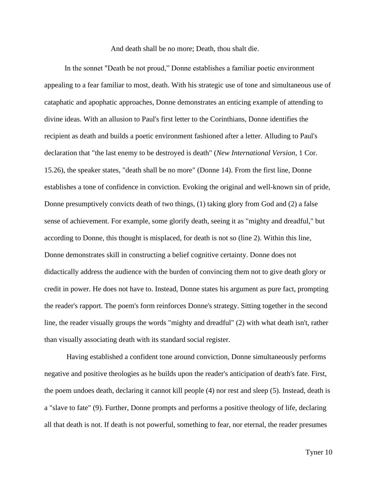And death shall be no more; Death, thou shalt die.

In the sonnet "Death be not proud," Donne establishes a familiar poetic environment appealing to a fear familiar to most, death. With his strategic use of tone and simultaneous use of cataphatic and apophatic approaches, Donne demonstrates an enticing example of attending to divine ideas. With an allusion to Paul's first letter to the Corinthians, Donne identifies the recipient as death and builds a poetic environment fashioned after a letter. Alluding to Paul's declaration that "the last enemy to be destroyed is death" (*New International Version*, 1 Cor. 15.26), the speaker states, "death shall be no more" (Donne 14). From the first line, Donne establishes a tone of confidence in conviction. Evoking the original and well-known sin of pride, Donne presumptively convicts death of two things, (1) taking glory from God and (2) a false sense of achievement. For example, some glorify death, seeing it as "mighty and dreadful," but according to Donne, this thought is misplaced, for death is not so (line 2). Within this line, Donne demonstrates skill in constructing a belief cognitive certainty. Donne does not didactically address the audience with the burden of convincing them not to give death glory or credit in power. He does not have to. Instead, Donne states his argument as pure fact, prompting the reader's rapport. The poem's form reinforces Donne's strategy. Sitting together in the second line, the reader visually groups the words "mighty and dreadful" (2) with what death isn't, rather than visually associating death with its standard social register.

Having established a confident tone around conviction, Donne simultaneously performs negative and positive theologies as he builds upon the reader's anticipation of death's fate. First, the poem undoes death, declaring it cannot kill people (4) nor rest and sleep (5). Instead, death is a "slave to fate" (9). Further, Donne prompts and performs a positive theology of life, declaring all that death is not. If death is not powerful, something to fear, nor eternal, the reader presumes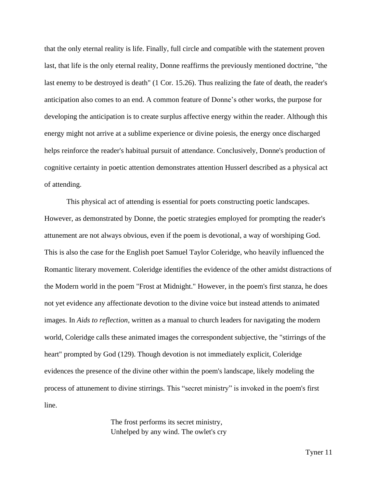that the only eternal reality is life. Finally, full circle and compatible with the statement proven last, that life is the only eternal reality, Donne reaffirms the previously mentioned doctrine, "the last enemy to be destroyed is death" (1 Cor. 15.26). Thus realizing the fate of death, the reader's anticipation also comes to an end. A common feature of Donne's other works, the purpose for developing the anticipation is to create surplus affective energy within the reader. Although this energy might not arrive at a sublime experience or divine poiesis, the energy once discharged helps reinforce the reader's habitual pursuit of attendance. Conclusively, Donne's production of cognitive certainty in poetic attention demonstrates attention Husserl described as a physical act of attending.

This physical act of attending is essential for poets constructing poetic landscapes. However, as demonstrated by Donne, the poetic strategies employed for prompting the reader's attunement are not always obvious, even if the poem is devotional, a way of worshiping God. This is also the case for the English poet Samuel Taylor Coleridge, who heavily influenced the Romantic literary movement. Coleridge identifies the evidence of the other amidst distractions of the Modern world in the poem "Frost at Midnight." However, in the poem's first stanza, he does not yet evidence any affectionate devotion to the divine voice but instead attends to animated images. In *Aids to reflection*, written as a manual to church leaders for navigating the modern world, Coleridge calls these animated images the correspondent subjective, the "stirrings of the heart" prompted by God (129). Though devotion is not immediately explicit, Coleridge evidences the presence of the divine other within the poem's landscape, likely modeling the process of attunement to divine stirrings. This "secret ministry" is invoked in the poem's first line.

> The frost performs its secret ministry, Unhelped by any wind. The owlet's cry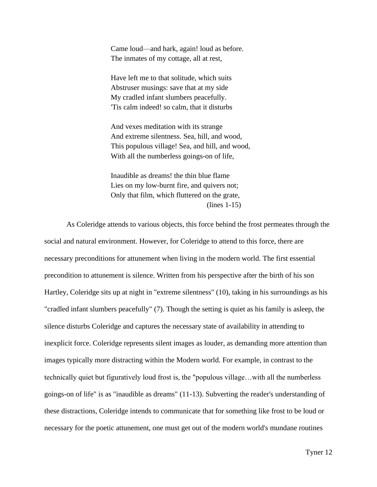Came loud—and hark, again! loud as before. The inmates of my cottage, all at rest,

Have left me to that solitude, which suits Abstruser musings: save that at my side My cradled infant slumbers peacefully. 'Tis calm indeed! so calm, that it disturbs

And vexes meditation with its strange And extreme silentness. Sea, hill, and wood, This populous village! Sea, and hill, and wood, With all the numberless goings-on of life,

Inaudible as dreams! the thin blue flame Lies on my low-burnt fire, and quivers not; Only that film, which fluttered on the grate, (lines 1-15)

As Coleridge attends to various objects, this force behind the frost permeates through the social and natural environment. However, for Coleridge to attend to this force, there are necessary preconditions for attunement when living in the modern world. The first essential precondition to attunement is silence. Written from his perspective after the birth of his son Hartley, Coleridge sits up at night in "extreme silentness" (10), taking in his surroundings as his "cradled infant slumbers peacefully" (7). Though the setting is quiet as his family is asleep, the silence disturbs Coleridge and captures the necessary state of availability in attending to inexplicit force. Coleridge represents silent images as louder, as demanding more attention than images typically more distracting within the Modern world. For example, in contrast to the technically quiet but figuratively loud frost is, the "populous village…with all the numberless goings-on of life" is as "inaudible as dreams" (11-13). Subverting the reader's understanding of these distractions, Coleridge intends to communicate that for something like frost to be loud or necessary for the poetic attunement, one must get out of the modern world's mundane routines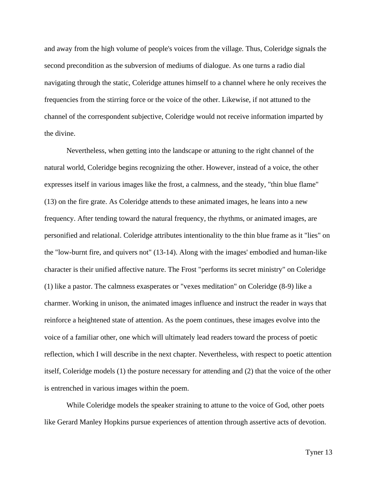and away from the high volume of people's voices from the village. Thus, Coleridge signals the second precondition as the subversion of mediums of dialogue. As one turns a radio dial navigating through the static, Coleridge attunes himself to a channel where he only receives the frequencies from the stirring force or the voice of the other. Likewise, if not attuned to the channel of the correspondent subjective, Coleridge would not receive information imparted by the divine.

Nevertheless, when getting into the landscape or attuning to the right channel of the natural world, Coleridge begins recognizing the other. However, instead of a voice, the other expresses itself in various images like the frost, a calmness, and the steady, "thin blue flame" (13) on the fire grate. As Coleridge attends to these animated images, he leans into a new frequency. After tending toward the natural frequency, the rhythms, or animated images, are personified and relational. Coleridge attributes intentionality to the thin blue frame as it "lies" on the "low-burnt fire, and quivers not" (13-14). Along with the images' embodied and human-like character is their unified affective nature. The Frost "performs its secret ministry" on Coleridge (1) like a pastor. The calmness exasperates or "vexes meditation" on Coleridge (8-9) like a charmer. Working in unison, the animated images influence and instruct the reader in ways that reinforce a heightened state of attention. As the poem continues, these images evolve into the voice of a familiar other, one which will ultimately lead readers toward the process of poetic reflection, which I will describe in the next chapter. Nevertheless, with respect to poetic attention itself, Coleridge models (1) the posture necessary for attending and (2) that the voice of the other is entrenched in various images within the poem.

While Coleridge models the speaker straining to attune to the voice of God, other poets like Gerard Manley Hopkins pursue experiences of attention through assertive acts of devotion.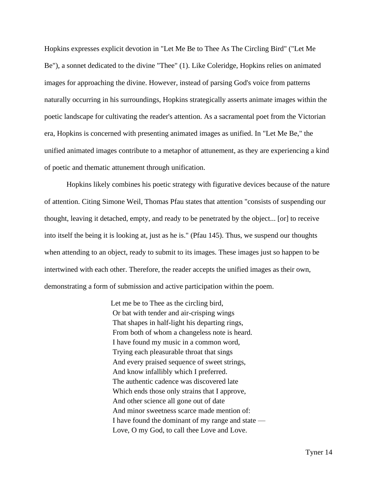Hopkins expresses explicit devotion in "Let Me Be to Thee As The Circling Bird" ("Let Me Be")*,* a sonnet dedicated to the divine "Thee" (1). Like Coleridge, Hopkins relies on animated images for approaching the divine. However, instead of parsing God's voice from patterns naturally occurring in his surroundings, Hopkins strategically asserts animate images within the poetic landscape for cultivating the reader's attention. As a sacramental poet from the Victorian era, Hopkins is concerned with presenting animated images as unified. In "Let Me Be," the unified animated images contribute to a metaphor of attunement, as they are experiencing a kind of poetic and thematic attunement through unification.

Hopkins likely combines his poetic strategy with figurative devices because of the nature of attention. Citing Simone Weil, Thomas Pfau states that attention "consists of suspending our thought, leaving it detached, empty, and ready to be penetrated by the object... [or] to receive into itself the being it is looking at, just as he is." (Pfau 145). Thus, we suspend our thoughts when attending to an object, ready to submit to its images. These images just so happen to be intertwined with each other. Therefore, the reader accepts the unified images as their own, demonstrating a form of submission and active participation within the poem.

> Let me be to Thee as the circling bird, Or bat with tender and air-crisping wings That shapes in half-light his departing rings, From both of whom a changeless note is heard. I have found my music in a common word, Trying each pleasurable throat that sings And every praised sequence of sweet strings, And know infallibly which I preferred. The authentic cadence was discovered late Which ends those only strains that I approve, And other science all gone out of date And minor sweetness scarce made mention of: I have found the dominant of my range and state — Love, O my God, to call thee Love and Love.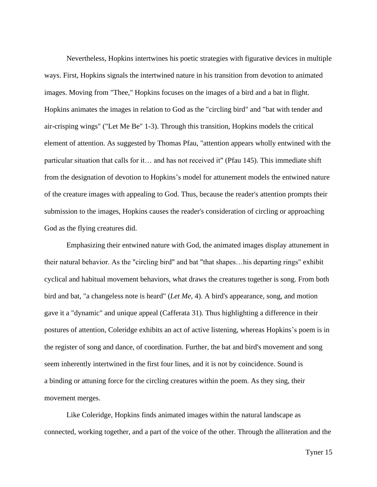Nevertheless, Hopkins intertwines his poetic strategies with figurative devices in multiple ways. First, Hopkins signals the intertwined nature in his transition from devotion to animated images. Moving from "Thee," Hopkins focuses on the images of a bird and a bat in flight. Hopkins animates the images in relation to God as the "circling bird" and "bat with tender and air-crisping wings" ("Let Me Be" 1-3). Through this transition, Hopkins models the critical element of attention. As suggested by Thomas Pfau, "attention appears wholly entwined with the particular situation that calls for it… and has not received it" (Pfau 145). This immediate shift from the designation of devotion to Hopkins's model for attunement models the entwined nature of the creature images with appealing to God. Thus, because the reader's attention prompts their submission to the images, Hopkins causes the reader's consideration of circling or approaching God as the flying creatures did.

Emphasizing their entwined nature with God, the animated images display attunement in their natural behavior. As the "circling bird" and bat "that shapes…his departing rings" exhibit cyclical and habitual movement behaviors, what draws the creatures together is song. From both bird and bat, "a changeless note is heard" (*Let Me*, 4). A bird's appearance, song, and motion gave it a "dynamic" and unique appeal (Cafferata 31). Thus highlighting a difference in their postures of attention, Coleridge exhibits an act of active listening, whereas Hopkins's poem is in the register of song and dance, of coordination. Further, the bat and bird's movement and song seem inherently intertwined in the first four lines, and it is not by coincidence. Sound is a binding or attuning force for the circling creatures within the poem. As they sing, their movement merges.

Like Coleridge, Hopkins finds animated images within the natural landscape as connected, working together, and a part of the voice of the other. Through the alliteration and the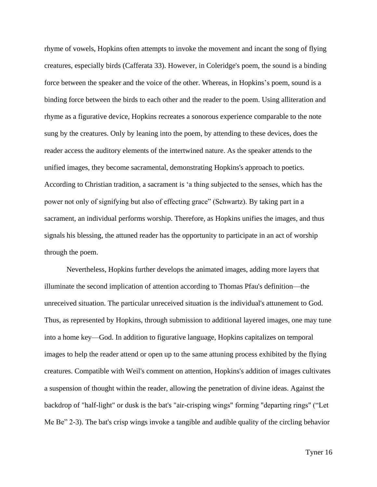rhyme of vowels, Hopkins often attempts to invoke the movement and incant the song of flying creatures, especially birds (Cafferata 33). However, in Coleridge's poem, the sound is a binding force between the speaker and the voice of the other. Whereas, in Hopkins's poem, sound is a binding force between the birds to each other and the reader to the poem. Using alliteration and rhyme as a figurative device, Hopkins recreates a sonorous experience comparable to the note sung by the creatures. Only by leaning into the poem, by attending to these devices, does the reader access the auditory elements of the intertwined nature. As the speaker attends to the unified images, they become sacramental, demonstrating Hopkins's approach to poetics. According to Christian tradition, a sacrament is 'a thing subjected to the senses, which has the power not only of signifying but also of effecting grace" (Schwartz). By taking part in a sacrament, an individual performs worship. Therefore, as Hopkins unifies the images, and thus signals his blessing, the attuned reader has the opportunity to participate in an act of worship through the poem.

Nevertheless, Hopkins further develops the animated images, adding more layers that illuminate the second implication of attention according to Thomas Pfau's definition—the unreceived situation. The particular unreceived situation is the individual's attunement to God. Thus, as represented by Hopkins, through submission to additional layered images, one may tune into a home key—God. In addition to figurative language, Hopkins capitalizes on temporal images to help the reader attend or open up to the same attuning process exhibited by the flying creatures. Compatible with Weil's comment on attention, Hopkins's addition of images cultivates a suspension of thought within the reader, allowing the penetration of divine ideas. Against the backdrop of "half-light" or dusk is the bat's "air-crisping wings" forming "departing rings" ("Let Me Be" 2-3). The bat's crisp wings invoke a tangible and audible quality of the circling behavior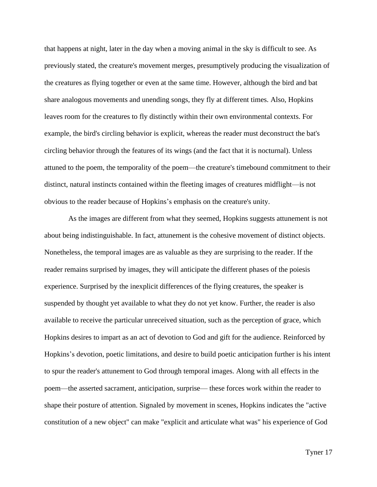that happens at night, later in the day when a moving animal in the sky is difficult to see. As previously stated, the creature's movement merges, presumptively producing the visualization of the creatures as flying together or even at the same time. However, although the bird and bat share analogous movements and unending songs, they fly at different times. Also, Hopkins leaves room for the creatures to fly distinctly within their own environmental contexts. For example, the bird's circling behavior is explicit, whereas the reader must deconstruct the bat's circling behavior through the features of its wings (and the fact that it is nocturnal). Unless attuned to the poem, the temporality of the poem—the creature's timebound commitment to their distinct, natural instincts contained within the fleeting images of creatures midflight—is not obvious to the reader because of Hopkins's emphasis on the creature's unity.

As the images are different from what they seemed, Hopkins suggests attunement is not about being indistinguishable. In fact, attunement is the cohesive movement of distinct objects. Nonetheless, the temporal images are as valuable as they are surprising to the reader. If the reader remains surprised by images, they will anticipate the different phases of the poiesis experience. Surprised by the inexplicit differences of the flying creatures, the speaker is suspended by thought yet available to what they do not yet know. Further, the reader is also available to receive the particular unreceived situation, such as the perception of grace, which Hopkins desires to impart as an act of devotion to God and gift for the audience. Reinforced by Hopkins's devotion, poetic limitations, and desire to build poetic anticipation further is his intent to spur the reader's attunement to God through temporal images. Along with all effects in the poem—the asserted sacrament, anticipation, surprise— these forces work within the reader to shape their posture of attention. Signaled by movement in scenes, Hopkins indicates the "active constitution of a new object" can make "explicit and articulate what was" his experience of God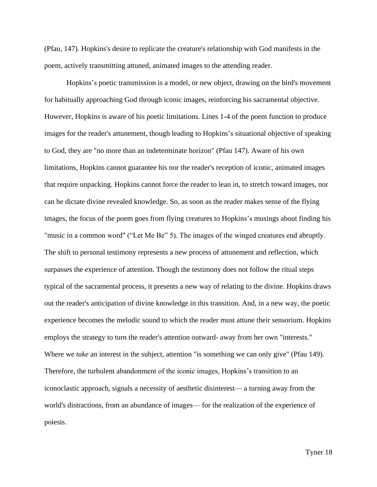(Pfau, 147). Hopkins's desire to replicate the creature's relationship with God manifests in the poem, actively transmitting attuned, animated images to the attending reader.

Hopkins's poetic transmission is a model, or new object, drawing on the bird's movement for habitually approaching God through iconic images, reinforcing his sacramental objective. However, Hopkins is aware of his poetic limitations. Lines 1-4 of the poem function to produce images for the reader's attunement, though leading to Hopkins's situational objective of speaking to God, they are "no more than an indeterminate horizon" (Pfau 147). Aware of his own limitations, Hopkins cannot guarantee his nor the reader's reception of iconic, animated images that require unpacking. Hopkins cannot force the reader to lean in, to stretch toward images, nor can he dictate divine revealed knowledge. So, as soon as the reader makes sense of the flying images, the focus of the poem goes from flying creatures to Hopkins's musings about finding his "music in a common word" ("Let Me Be" 5). The images of the winged creatures end abruptly. The shift to personal testimony represents a new process of attunement and reflection, which surpasses the experience of attention. Though the testimony does not follow the ritual steps typical of the sacramental process, it presents a new way of relating to the divine. Hopkins draws out the reader's anticipation of divine knowledge in this transition. And, in a new way, the poetic experience becomes the melodic sound to which the reader must attune their sensorium. Hopkins employs the strategy to turn the reader's attention outward- away from her own "interests." Where we *take* an interest in the subject, attention "is something we can only give" (Pfau 149). Therefore, the turbulent abandonment of the iconic images, Hopkins's transition to an iconoclastic approach, signals a necessity of aesthetic disinterest— a turning away from the world's distractions, from an abundance of images— for the realization of the experience of poiesis.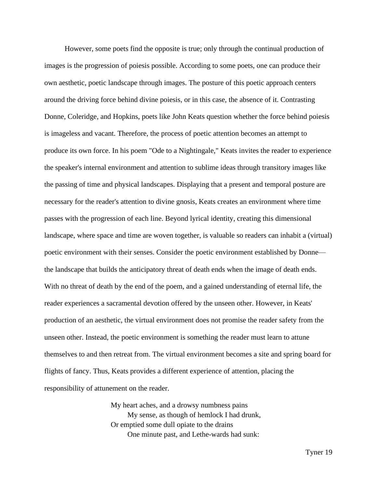However, some poets find the opposite is true; only through the continual production of images is the progression of poiesis possible. According to some poets, one can produce their own aesthetic, poetic landscape through images. The posture of this poetic approach centers around the driving force behind divine poiesis, or in this case, the absence of it. Contrasting Donne, Coleridge, and Hopkins, poets like John Keats question whether the force behind poiesis is imageless and vacant. Therefore, the process of poetic attention becomes an attempt to produce its own force. In his poem "Ode to a Nightingale," Keats invites the reader to experience the speaker's internal environment and attention to sublime ideas through transitory images like the passing of time and physical landscapes. Displaying that a present and temporal posture are necessary for the reader's attention to divine gnosis, Keats creates an environment where time passes with the progression of each line. Beyond lyrical identity, creating this dimensional landscape, where space and time are woven together, is valuable so readers can inhabit a (virtual) poetic environment with their senses. Consider the poetic environment established by Donne the landscape that builds the anticipatory threat of death ends when the image of death ends. With no threat of death by the end of the poem, and a gained understanding of eternal life, the reader experiences a sacramental devotion offered by the unseen other. However, in Keats' production of an aesthetic, the virtual environment does not promise the reader safety from the unseen other. Instead, the poetic environment is something the reader must learn to attune themselves to and then retreat from. The virtual environment becomes a site and spring board for flights of fancy. Thus, Keats provides a different experience of attention, placing the responsibility of attunement on the reader.

> My heart aches, and a drowsy numbness pains My sense, as though of hemlock I had drunk, Or emptied some dull opiate to the drains One minute past, and Lethe-wards had sunk: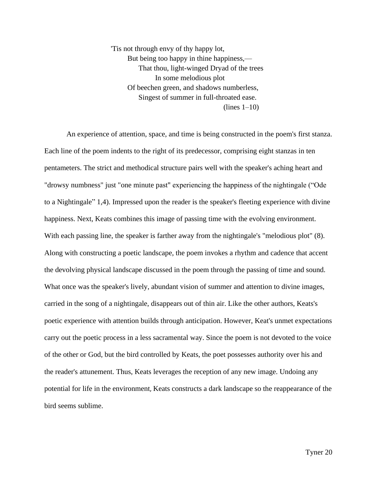'Tis not through envy of thy happy lot, But being too happy in thine happiness,— That thou, light-winged Dryad of the trees In some melodious plot Of beechen green, and shadows numberless, Singest of summer in full-throated ease.  $($ lines  $1-10)$ 

An experience of attention, space, and time is being constructed in the poem's first stanza. Each line of the poem indents to the right of its predecessor, comprising eight stanzas in ten pentameters. The strict and methodical structure pairs well with the speaker's aching heart and "drowsy numbness" just "one minute past" experiencing the happiness of the nightingale ("Ode to a Nightingale" 1,4). Impressed upon the reader is the speaker's fleeting experience with divine happiness. Next, Keats combines this image of passing time with the evolving environment. With each passing line, the speaker is farther away from the nightingale's "melodious plot" (8). Along with constructing a poetic landscape, the poem invokes a rhythm and cadence that accent the devolving physical landscape discussed in the poem through the passing of time and sound. What once was the speaker's lively, abundant vision of summer and attention to divine images, carried in the song of a nightingale, disappears out of thin air. Like the other authors, Keats's poetic experience with attention builds through anticipation. However, Keat's unmet expectations carry out the poetic process in a less sacramental way. Since the poem is not devoted to the voice of the other or God, but the bird controlled by Keats, the poet possesses authority over his and the reader's attunement. Thus, Keats leverages the reception of any new image. Undoing any potential for life in the environment, Keats constructs a dark landscape so the reappearance of the bird seems sublime.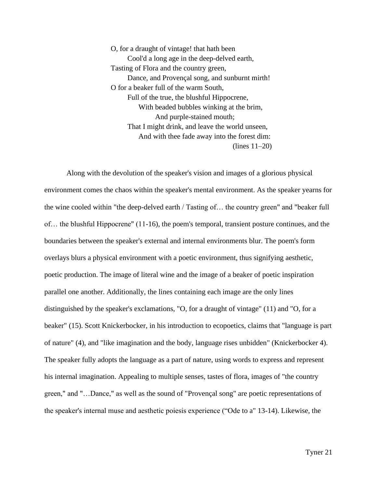O, for a draught of vintage! that hath been Cool'd a long age in the deep-delved earth, Tasting of Flora and the country green, Dance, and Provençal song, and sunburnt mirth! O for a beaker full of the warm South, Full of the true, the blushful Hippocrene, With beaded bubbles winking at the brim, And purple-stained mouth; That I might drink, and leave the world unseen, And with thee fade away into the forest dim: (lines 11–20)

Along with the devolution of the speaker's vision and images of a glorious physical environment comes the chaos within the speaker's mental environment. As the speaker yearns for the wine cooled within "the deep-delved earth / Tasting of… the country green" and "beaker full of… the blushful Hippocrene" (11-16), the poem's temporal, transient posture continues, and the boundaries between the speaker's external and internal environments blur. The poem's form overlays blurs a physical environment with a poetic environment, thus signifying aesthetic, poetic production. The image of literal wine and the image of a beaker of poetic inspiration parallel one another. Additionally, the lines containing each image are the only lines distinguished by the speaker's exclamations, "O, for a draught of vintage" (11) and "O, for a beaker" (15). Scott Knickerbocker, in his introduction to ecopoetics, claims that "language is part of nature" (4), and "like imagination and the body, language rises unbidden" (Knickerbocker 4). The speaker fully adopts the language as a part of nature, using words to express and represent his internal imagination. Appealing to multiple senses, tastes of flora, images of "the country green," and "…Dance," as well as the sound of "Provençal song" are poetic representations of the speaker's internal muse and aesthetic poiesis experience ("Ode to a" 13-14). Likewise, the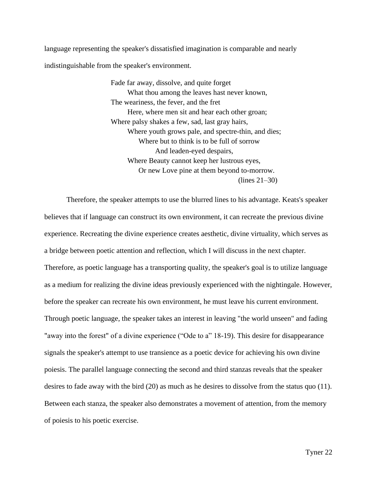language representing the speaker's dissatisfied imagination is comparable and nearly indistinguishable from the speaker's environment.

> Fade far away, dissolve, and quite forget What thou among the leaves hast never known, The weariness, the fever, and the fret Here, where men sit and hear each other groan; Where palsy shakes a few, sad, last gray hairs, Where youth grows pale, and spectre-thin, and dies; Where but to think is to be full of sorrow And leaden-eyed despairs, Where Beauty cannot keep her lustrous eyes, Or new Love pine at them beyond to-morrow. (lines 21–30)

Therefore, the speaker attempts to use the blurred lines to his advantage. Keats's speaker believes that if language can construct its own environment, it can recreate the previous divine experience. Recreating the divine experience creates aesthetic, divine virtuality, which serves as a bridge between poetic attention and reflection, which I will discuss in the next chapter. Therefore, as poetic language has a transporting quality, the speaker's goal is to utilize language as a medium for realizing the divine ideas previously experienced with the nightingale. However, before the speaker can recreate his own environment, he must leave his current environment. Through poetic language, the speaker takes an interest in leaving "the world unseen" and fading "away into the forest" of a divine experience ("Ode to a" 18-19). This desire for disappearance signals the speaker's attempt to use transience as a poetic device for achieving his own divine poiesis. The parallel language connecting the second and third stanzas reveals that the speaker desires to fade away with the bird (20) as much as he desires to dissolve from the status quo (11). Between each stanza, the speaker also demonstrates a movement of attention, from the memory of poiesis to his poetic exercise.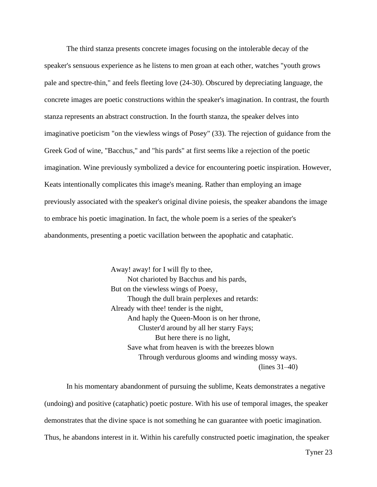The third stanza presents concrete images focusing on the intolerable decay of the speaker's sensuous experience as he listens to men groan at each other, watches "youth grows pale and spectre-thin," and feels fleeting love (24-30). Obscured by depreciating language, the concrete images are poetic constructions within the speaker's imagination. In contrast, the fourth stanza represents an abstract construction. In the fourth stanza, the speaker delves into imaginative poeticism "on the viewless wings of Posey" (33). The rejection of guidance from the Greek God of wine, "Bacchus," and "his pards" at first seems like a rejection of the poetic imagination. Wine previously symbolized a device for encountering poetic inspiration. However, Keats intentionally complicates this image's meaning. Rather than employing an image previously associated with the speaker's original divine poiesis, the speaker abandons the image to embrace his poetic imagination. In fact, the whole poem is a series of the speaker's abandonments, presenting a poetic vacillation between the apophatic and cataphatic.

> Away! away! for I will fly to thee, Not charioted by Bacchus and his pards, But on the viewless wings of Poesy, Though the dull brain perplexes and retards: Already with thee! tender is the night, And haply the Queen-Moon is on her throne, Cluster'd around by all her starry Fays; But here there is no light, Save what from heaven is with the breezes blown Through verdurous glooms and winding mossy ways. (lines 31–40)

In his momentary abandonment of pursuing the sublime, Keats demonstrates a negative (undoing) and positive (cataphatic) poetic posture. With his use of temporal images, the speaker demonstrates that the divine space is not something he can guarantee with poetic imagination. Thus, he abandons interest in it. Within his carefully constructed poetic imagination, the speaker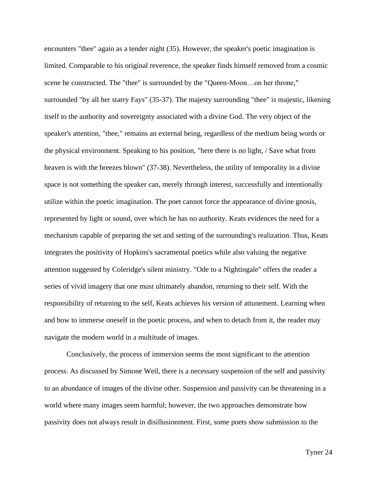encounters "thee" again as a tender night (35). However, the speaker's poetic imagination is limited. Comparable to his original reverence, the speaker finds himself removed from a cosmic scene he constructed. The "thee" is surrounded by the "Queen-Moon…on her throne," surrounded "by all her starry Fays" (35-37). The majesty surrounding "thee" is majestic, likening itself to the authority and sovereignty associated with a divine God. The very object of the speaker's attention, "thee," remains an external being, regardless of the medium being words or the physical environment. Speaking to his position, "here there is no light, / Save what from heaven is with the breezes blown" (37-38). Nevertheless, the utility of temporality in a divine space is not something the speaker can, merely through interest, successfully and intentionally utilize within the poetic imagination. The poet cannot force the appearance of divine gnosis, represented by light or sound, over which he has no authority. Keats evidences the need for a mechanism capable of preparing the set and setting of the surrounding's realization. Thus, Keats integrates the positivity of Hopkins's sacramental poetics while also valuing the negative attention suggested by Coleridge's silent ministry. "Ode to a Nightingale" offers the reader a series of vivid imagery that one must ultimately abandon, returning to their self. With the responsibility of returning to the self, Keats achieves his version of attunement. Learning when and how to immerse oneself in the poetic process, and when to detach from it, the reader may navigate the modern world in a multitude of images.

Conclusively, the process of immersion seems the most significant to the attention process. As discussed by Simone Weil, there is a necessary suspension of the self and passivity to an abundance of images of the divine other. Suspension and passivity can be threatening in a world where many images seem harmful; however, the two approaches demonstrate how passivity does not always result in disillusionment. First, some poets show submission to the

Tyner 24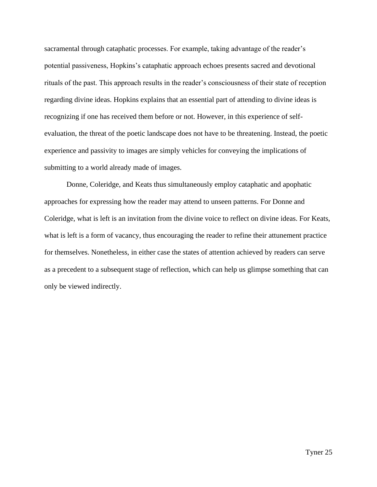sacramental through cataphatic processes. For example, taking advantage of the reader's potential passiveness, Hopkins's cataphatic approach echoes presents sacred and devotional rituals of the past. This approach results in the reader's consciousness of their state of reception regarding divine ideas. Hopkins explains that an essential part of attending to divine ideas is recognizing if one has received them before or not. However, in this experience of selfevaluation, the threat of the poetic landscape does not have to be threatening. Instead, the poetic experience and passivity to images are simply vehicles for conveying the implications of submitting to a world already made of images.

Donne, Coleridge, and Keats thus simultaneously employ cataphatic and apophatic approaches for expressing how the reader may attend to unseen patterns. For Donne and Coleridge, what is left is an invitation from the divine voice to reflect on divine ideas. For Keats, what is left is a form of vacancy, thus encouraging the reader to refine their attunement practice for themselves. Nonetheless, in either case the states of attention achieved by readers can serve as a precedent to a subsequent stage of reflection, which can help us glimpse something that can only be viewed indirectly.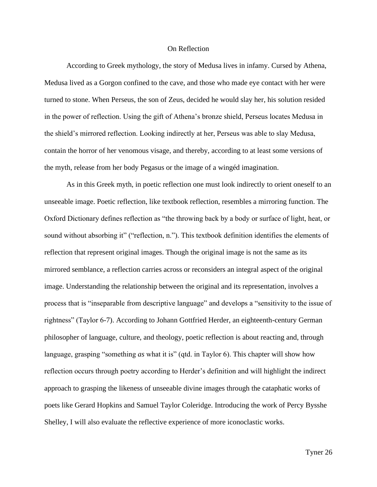## On Reflection

According to Greek mythology, the story of Medusa lives in infamy. Cursed by Athena, Medusa lived as a Gorgon confined to the cave, and those who made eye contact with her were turned to stone. When Perseus, the son of Zeus, decided he would slay her, his solution resided in the power of reflection. Using the gift of Athena's bronze shield, Perseus locates Medusa in the shield's mirrored reflection. Looking indirectly at her, Perseus was able to slay Medusa, contain the horror of her venomous visage, and thereby, according to at least some versions of the myth, release from her body Pegasus or the image of a wingéd imagination.

As in this Greek myth, in poetic reflection one must look indirectly to orient oneself to an unseeable image. Poetic reflection, like textbook reflection, resembles a mirroring function. The Oxford Dictionary defines reflection as "the throwing back by a body or surface of light, heat, or sound without absorbing it" ("reflection, n."). This textbook definition identifies the elements of reflection that represent original images. Though the original image is not the same as its mirrored semblance, a reflection carries across or reconsiders an integral aspect of the original image. Understanding the relationship between the original and its representation, involves a process that is "inseparable from descriptive language" and develops a "sensitivity to the issue of rightness" (Taylor 6-7). According to Johann Gottfried Herder, an eighteenth-century German philosopher of language, culture, and theology, poetic reflection is about reacting and, through language, grasping "something *as* what it is" (qtd. in Taylor 6). This chapter will show how reflection occurs through poetry according to Herder's definition and will highlight the indirect approach to grasping the likeness of unseeable divine images through the cataphatic works of poets like Gerard Hopkins and Samuel Taylor Coleridge. Introducing the work of Percy Bysshe Shelley, I will also evaluate the reflective experience of more iconoclastic works.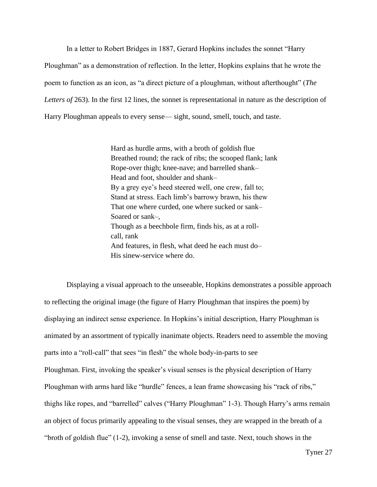In a letter to Robert Bridges in 1887, Gerard Hopkins includes the sonnet "Harry

Ploughman" as a demonstration of reflection. In the letter, Hopkins explains that he wrote the poem to function as an icon, as "a direct picture of a ploughman, without afterthought" (*The*  Letters of 263). In the first 12 lines, the sonnet is representational in nature as the description of Harry Ploughman appeals to every sense— sight, sound, smell, touch, and taste.

> Hard as hurdle arms, with a broth of goldish flue Breathed round; the rack of ribs; the scooped flank; lank Rope-over thigh; knee-nave; and barrelled shank– Head and foot, shoulder and shank– By a grey eye's heed steered well, one crew, fall to; Stand at stress. Each limb's barrowy brawn, his thew That one where curded, one where sucked or sank– Soared or sank–, Though as a beechbole firm, finds his, as at a rollcall, rank And features, in flesh, what deed he each must do– His sinew-service where do.

Displaying a visual approach to the unseeable, Hopkins demonstrates a possible approach to reflecting the original image (the figure of Harry Ploughman that inspires the poem) by displaying an indirect sense experience. In Hopkins's initial description, Harry Ploughman is animated by an assortment of typically inanimate objects. Readers need to assemble the moving parts into a "roll-call" that sees "in flesh" the whole body-in-parts to see Ploughman. First*,* invoking the speaker's visual senses is the physical description of Harry Ploughman with arms hard like "hurdle" fences, a lean frame showcasing his "rack of ribs," thighs like ropes, and "barrelled" calves ("Harry Ploughman" 1-3). Though Harry's arms remain an object of focus primarily appealing to the visual senses, they are wrapped in the breath of a "broth of goldish flue" (1-2), invoking a sense of smell and taste. Next, touch shows in the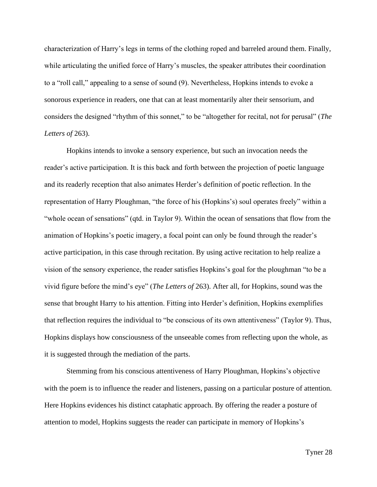characterization of Harry's legs in terms of the clothing roped and barreled around them. Finally, while articulating the unified force of Harry's muscles, the speaker attributes their coordination to a "roll call," appealing to a sense of sound (9). Nevertheless, Hopkins intends to evoke a sonorous experience in readers, one that can at least momentarily alter their sensorium, and considers the designed "rhythm of this sonnet," to be "altogether for recital, not for perusal" (*The Letters of* 263).

Hopkins intends to invoke a sensory experience, but such an invocation needs the reader's active participation. It is this back and forth between the projection of poetic language and its readerly reception that also animates Herder's definition of poetic reflection. In the representation of Harry Ploughman, "the force of his (Hopkins's) soul operates freely" within a "whole ocean of sensations" (qtd. in Taylor 9). Within the ocean of sensations that flow from the animation of Hopkins's poetic imagery, a focal point can only be found through the reader's active participation, in this case through recitation. By using active recitation to help realize a vision of the sensory experience, the reader satisfies Hopkins's goal for the ploughman "to be a vivid figure before the mind's eye" (*The Letters of* 263). After all, for Hopkins, sound was the sense that brought Harry to his attention. Fitting into Herder's definition, Hopkins exemplifies that reflection requires the individual to "be conscious of its own attentiveness" (Taylor 9). Thus, Hopkins displays how consciousness of the unseeable comes from reflecting upon the whole, as it is suggested through the mediation of the parts.

Stemming from his conscious attentiveness of Harry Ploughman, Hopkins's objective with the poem is to influence the reader and listeners, passing on a particular posture of attention. Here Hopkins evidences his distinct cataphatic approach. By offering the reader a posture of attention to model, Hopkins suggests the reader can participate in memory of Hopkins's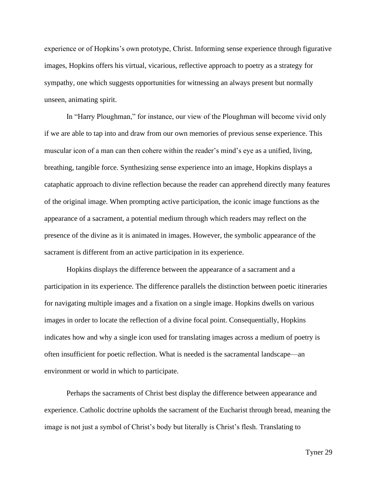experience or of Hopkins's own prototype, Christ. Informing sense experience through figurative images, Hopkins offers his virtual, vicarious, reflective approach to poetry as a strategy for sympathy, one which suggests opportunities for witnessing an always present but normally unseen, animating spirit.

In "Harry Ploughman," for instance, our view of the Ploughman will become vivid only if we are able to tap into and draw from our own memories of previous sense experience. This muscular icon of a man can then cohere within the reader's mind's eye as a unified, living, breathing, tangible force. Synthesizing sense experience into an image, Hopkins displays a cataphatic approach to divine reflection because the reader can apprehend directly many features of the original image. When prompting active participation, the iconic image functions as the appearance of a sacrament, a potential medium through which readers may reflect on the presence of the divine as it is animated in images. However, the symbolic appearance of the sacrament is different from an active participation in its experience.

Hopkins displays the difference between the appearance of a sacrament and a participation in its experience. The difference parallels the distinction between poetic itineraries for navigating multiple images and a fixation on a single image. Hopkins dwells on various images in order to locate the reflection of a divine focal point. Consequentially, Hopkins indicates how and why a single icon used for translating images across a medium of poetry is often insufficient for poetic reflection. What is needed is the sacramental landscape—an environment or world in which to participate.

Perhaps the sacraments of Christ best display the difference between appearance and experience. Catholic doctrine upholds the sacrament of the Eucharist through bread, meaning the image is not just a symbol of Christ's body but literally is Christ's flesh. Translating to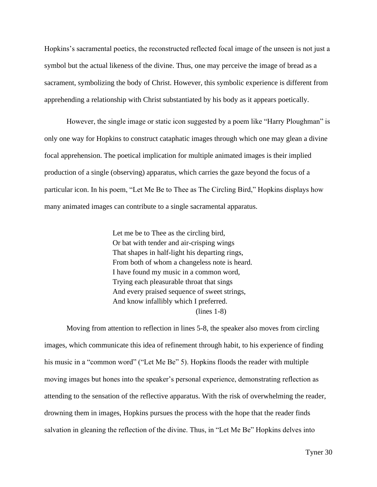Hopkins's sacramental poetics, the reconstructed reflected focal image of the unseen is not just a symbol but the actual likeness of the divine. Thus, one may perceive the image of bread as a sacrament, symbolizing the body of Christ. However, this symbolic experience is different from apprehending a relationship with Christ substantiated by his body as it appears poetically.

However, the single image or static icon suggested by a poem like "Harry Ploughman" is only one way for Hopkins to construct cataphatic images through which one may glean a divine focal apprehension. The poetical implication for multiple animated images is their implied production of a single (observing) apparatus, which carries the gaze beyond the focus of a particular icon. In his poem, "Let Me Be to Thee as The Circling Bird," Hopkins displays how many animated images can contribute to a single sacramental apparatus.

> Let me be to Thee as the circling bird, Or bat with tender and air-crisping wings That shapes in half-light his departing rings, From both of whom a changeless note is heard. I have found my music in a common word, Trying each pleasurable throat that sings And every praised sequence of sweet strings, And know infallibly which I preferred. (lines 1-8)

Moving from attention to reflection in lines 5-8, the speaker also moves from circling images, which communicate this idea of refinement through habit, to his experience of finding his music in a "common word" ("Let Me Be" 5). Hopkins floods the reader with multiple moving images but hones into the speaker's personal experience, demonstrating reflection as attending to the sensation of the reflective apparatus. With the risk of overwhelming the reader, drowning them in images, Hopkins pursues the process with the hope that the reader finds salvation in gleaning the reflection of the divine. Thus, in "Let Me Be" Hopkins delves into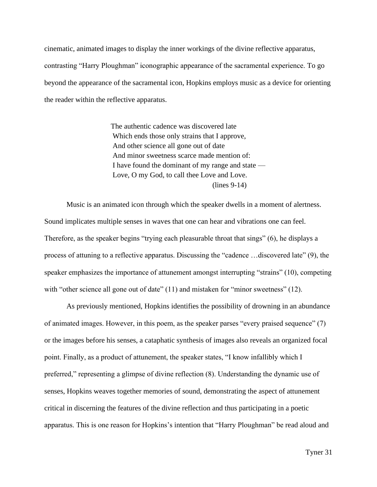cinematic, animated images to display the inner workings of the divine reflective apparatus, contrasting "Harry Ploughman" iconographic appearance of the sacramental experience. To go beyond the appearance of the sacramental icon, Hopkins employs music as a device for orienting the reader within the reflective apparatus.

> The authentic cadence was discovered late Which ends those only strains that I approve, And other science all gone out of date And minor sweetness scarce made mention of: I have found the dominant of my range and state — Love, O my God, to call thee Love and Love. (lines 9-14)

Music is an animated icon through which the speaker dwells in a moment of alertness. Sound implicates multiple senses in waves that one can hear and vibrations one can feel. Therefore, as the speaker begins "trying each pleasurable throat that sings" (6), he displays a process of attuning to a reflective apparatus. Discussing the "cadence …discovered late" (9), the speaker emphasizes the importance of attunement amongst interrupting "strains" (10), competing with "other science all gone out of date" (11) and mistaken for "minor sweetness" (12).

As previously mentioned, Hopkins identifies the possibility of drowning in an abundance of animated images. However, in this poem, as the speaker parses "every praised sequence" (7) or the images before his senses, a cataphatic synthesis of images also reveals an organized focal point. Finally, as a product of attunement, the speaker states, "I know infallibly which I preferred," representing a glimpse of divine reflection (8). Understanding the dynamic use of senses, Hopkins weaves together memories of sound, demonstrating the aspect of attunement critical in discerning the features of the divine reflection and thus participating in a poetic apparatus. This is one reason for Hopkins's intention that "Harry Ploughman" be read aloud and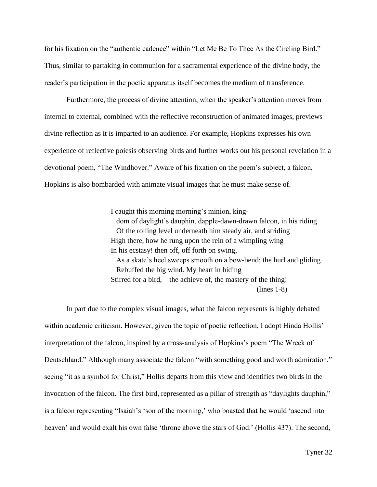for his fixation on the "authentic cadence" within "Let Me Be To Thee As the Circling Bird." Thus, similar to partaking in communion for a sacramental experience of the divine body, the reader's participation in the poetic apparatus itself becomes the medium of transference.

Furthermore, the process of divine attention, when the speaker's attention moves from internal to external, combined with the reflective reconstruction of animated images, previews divine reflection as it is imparted to an audience. For example, Hopkins expresses his own experience of reflective poiesis observing birds and further works out his personal revelation in a devotional poem, "The Windhover." Aware of his fixation on the poem's subject, a falcon, Hopkins is also bombarded with animate visual images that he must make sense of.

> I caught this morning morning's minion, kingdom of daylight's dauphin, dapple-dawn-drawn falcon, in his riding Of the rolling level underneath him steady air, and striding High there, how he rung upon the rein of a wimpling wing In his ecstasy! then off, off forth on swing, As a skate's heel sweeps smooth on a bow-bend: the hurl and gliding Rebuffed the big wind. My heart in hiding Stirred for a bird, – the achieve of, the mastery of the thing! (lines 1-8)

In part due to the complex visual images, what the falcon represents is highly debated within academic criticism. However, given the topic of poetic reflection, I adopt Hinda Hollis' interpretation of the falcon, inspired by a cross-analysis of Hopkins's poem "The Wreck of Deutschland." Although many associate the falcon "with something good and worth admiration," seeing "it as a symbol for Christ," Hollis departs from this view and identifies two birds in the invocation of the falcon. The first bird, represented as a pillar of strength as "daylights dauphin," is a falcon representing "Isaiah's 'son of the morning,' who boasted that he would 'ascend into heaven' and would exalt his own false 'throne above the stars of God.' (Hollis 437). The second,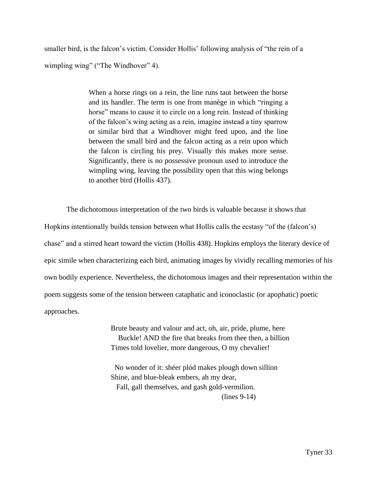smaller bird, is the falcon's victim. Consider Hollis' following analysis of "the rein of a wimpling wing" ("The Windhover" 4).

> When a horse rings on a rein, the line runs taut between the horse and its handler. The term is one from manège in which "ringing a horse" means to cause it to circle on a long rein. Instead of thinking of the falcon's wing acting as a rein, imagine instead a tiny sparrow or similar bird that a Windhover might feed upon, and the line between the small bird and the falcon acting as a rein upon which the falcon is circling his prey. Visually this makes more sense. Significantly, there is no possessive pronoun used to introduce the wimpling wing, leaving the possibility open that this wing belongs to another bird (Hollis 437).

The dichotomous interpretation of the two birds is valuable because it shows that Hopkins intentionally builds tension between what Hollis calls the ecstasy "of the (falcon's) chase" and a stirred heart toward the victim (Hollis 438). Hopkins employs the literary device of epic simile when characterizing each bird, animating images by vividly recalling memories of his own bodily experience. Nevertheless, the dichotomous images and their representation within the poem suggests some of the tension between cataphatic and iconoclastic (or apophatic) poetic approaches.

> Brute beauty and valour and act, oh, air, pride, plume, here Buckle! AND the fire that breaks from thee then, a billion Times told lovelier, more dangerous, O my chevalier!

 No wonder of it: shéer plód makes plough down sillion Shine, and blue-bleak embers, ah my dear, Fall, gall themselves, and gash gold-vermilion. (lines 9-14)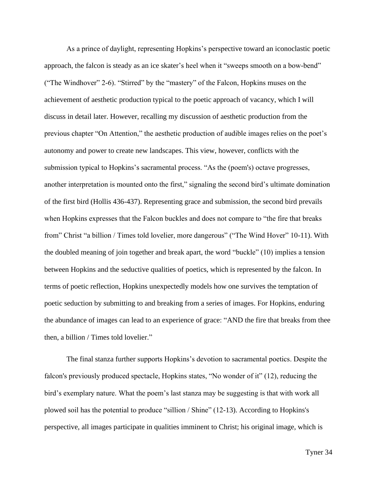As a prince of daylight, representing Hopkins's perspective toward an iconoclastic poetic approach, the falcon is steady as an ice skater's heel when it "sweeps smooth on a bow-bend" ("The Windhover" 2-6). "Stirred" by the "mastery" of the Falcon, Hopkins muses on the achievement of aesthetic production typical to the poetic approach of vacancy, which I will discuss in detail later. However, recalling my discussion of aesthetic production from the previous chapter "On Attention," the aesthetic production of audible images relies on the poet's autonomy and power to create new landscapes. This view, however, conflicts with the submission typical to Hopkins's sacramental process. "As the (poem's) octave progresses, another interpretation is mounted onto the first," signaling the second bird's ultimate domination of the first bird (Hollis 436-437). Representing grace and submission, the second bird prevails when Hopkins expresses that the Falcon buckles and does not compare to "the fire that breaks from" Christ "a billion / Times told lovelier, more dangerous" ("The Wind Hover" 10-11). With the doubled meaning of join together and break apart, the word "buckle" (10) implies a tension between Hopkins and the seductive qualities of poetics, which is represented by the falcon. In terms of poetic reflection, Hopkins unexpectedly models how one survives the temptation of poetic seduction by submitting to and breaking from a series of images. For Hopkins, enduring the abundance of images can lead to an experience of grace: "AND the fire that breaks from thee then, a billion / Times told lovelier."

The final stanza further supports Hopkins's devotion to sacramental poetics. Despite the falcon's previously produced spectacle, Hopkins states, "No wonder of it" (12), reducing the bird's exemplary nature. What the poem's last stanza may be suggesting is that with work all plowed soil has the potential to produce "sillion / Shine" (12-13). According to Hopkins's perspective, all images participate in qualities imminent to Christ; his original image, which is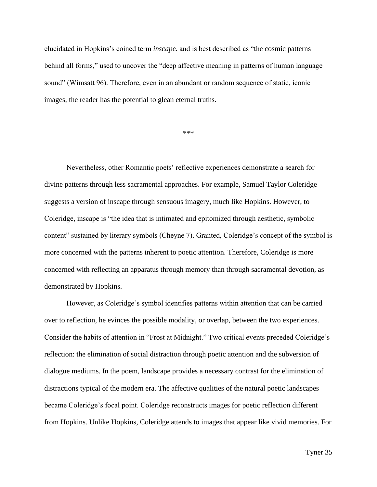elucidated in Hopkins's coined term *inscape*, and is best described as "the cosmic patterns behind all forms," used to uncover the "deep affective meaning in patterns of human language sound" (Wimsatt 96). Therefore, even in an abundant or random sequence of static, iconic images, the reader has the potential to glean eternal truths.

\*\*\*

Nevertheless, other Romantic poets' reflective experiences demonstrate a search for divine patterns through less sacramental approaches. For example, Samuel Taylor Coleridge suggests a version of inscape through sensuous imagery, much like Hopkins. However, to Coleridge, inscape is "the idea that is intimated and epitomized through aesthetic, symbolic content" sustained by literary symbols (Cheyne 7). Granted, Coleridge's concept of the symbol is more concerned with the patterns inherent to poetic attention. Therefore, Coleridge is more concerned with reflecting an apparatus through memory than through sacramental devotion, as demonstrated by Hopkins.

However, as Coleridge's symbol identifies patterns within attention that can be carried over to reflection, he evinces the possible modality, or overlap, between the two experiences. Consider the habits of attention in "Frost at Midnight." Two critical events preceded Coleridge's reflection: the elimination of social distraction through poetic attention and the subversion of dialogue mediums. In the poem, landscape provides a necessary contrast for the elimination of distractions typical of the modern era. The affective qualities of the natural poetic landscapes became Coleridge's focal point. Coleridge reconstructs images for poetic reflection different from Hopkins. Unlike Hopkins, Coleridge attends to images that appear like vivid memories. For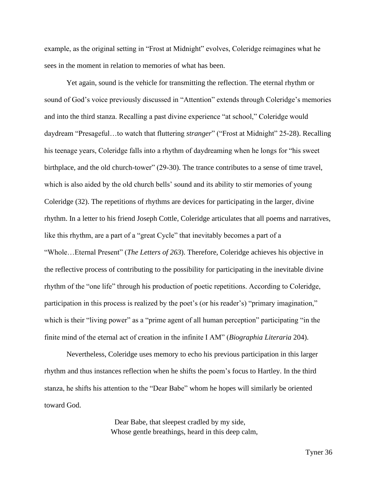example, as the original setting in "Frost at Midnight" evolves, Coleridge reimagines what he sees in the moment in relation to memories of what has been.

Yet again, sound is the vehicle for transmitting the reflection. The eternal rhythm or sound of God's voice previously discussed in "Attention" extends through Coleridge's memories and into the third stanza. Recalling a past divine experience "at school," Coleridge would daydream "Presageful…to watch that fluttering *stranger*" ("Frost at Midnight" 25-28). Recalling his teenage years, Coleridge falls into a rhythm of daydreaming when he longs for "his sweet birthplace, and the old church-tower" (29-30). The trance contributes to a sense of time travel, which is also aided by the old church bells' sound and its ability to stir memories of young Coleridge (32). The repetitions of rhythms are devices for participating in the larger, divine rhythm. In a letter to his friend Joseph Cottle, Coleridge articulates that all poems and narratives, like this rhythm, are a part of a "great Cycle" that inevitably becomes a part of a "Whole…Eternal Present" (*The Letters of 263*). Therefore, Coleridge achieves his objective in the reflective process of contributing to the possibility for participating in the inevitable divine rhythm of the "one life" through his production of poetic repetitions. According to Coleridge, participation in this process is realized by the poet's (or his reader's) "primary imagination," which is their "living power" as a "prime agent of all human perception" participating "in the finite mind of the eternal act of creation in the infinite I AM" (*Biographia Literaria* 204).

Nevertheless, Coleridge uses memory to echo his previous participation in this larger rhythm and thus instances reflection when he shifts the poem's focus to Hartley. In the third stanza, he shifts his attention to the "Dear Babe" whom he hopes will similarly be oriented toward God.

> Dear Babe, that sleepest cradled by my side, Whose gentle breathings, heard in this deep calm,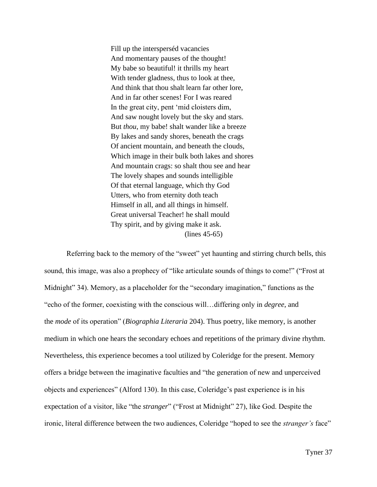Fill up the intersperséd vacancies And momentary pauses of the thought! My babe so beautiful! it thrills my heart With tender gladness, thus to look at thee, And think that thou shalt learn far other lore, And in far other scenes! For I was reared In the great city, pent 'mid cloisters dim, And saw nought lovely but the sky and stars. But *thou*, my babe! shalt wander like a breeze By lakes and sandy shores, beneath the crags Of ancient mountain, and beneath the clouds, Which image in their bulk both lakes and shores And mountain crags: so shalt thou see and hear The lovely shapes and sounds intelligible Of that eternal language, which thy God Utters, who from eternity doth teach Himself in all, and all things in himself. Great universal Teacher! he shall mould Thy spirit, and by giving make it ask. (lines 45-65)

Referring back to the memory of the "sweet" yet haunting and stirring church bells, this sound, this image, was also a prophecy of "like articulate sounds of things to come!" ("Frost at Midnight" 34). Memory, as a placeholder for the "secondary imagination," functions as the "echo of the former, coexisting with the conscious will…differing only in *degree*, and the *mode* of its operation" (*Biographia Literaria* 204). Thus poetry, like memory, is another medium in which one hears the secondary echoes and repetitions of the primary divine rhythm. Nevertheless, this experience becomes a tool utilized by Coleridge for the present. Memory offers a bridge between the imaginative faculties and "the generation of new and unperceived objects and experiences" (Alford 130). In this case, Coleridge's past experience is in his expectation of a visitor, like "the *stranger*" ("Frost at Midnight" 27), like God. Despite the ironic, literal difference between the two audiences, Coleridge "hoped to see the *stranger's* face"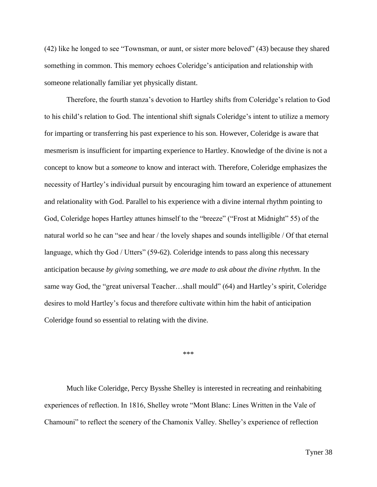(42) like he longed to see "Townsman, or aunt, or sister more beloved" (43) because they shared something in common. This memory echoes Coleridge's anticipation and relationship with someone relationally familiar yet physically distant.

Therefore, the fourth stanza's devotion to Hartley shifts from Coleridge's relation to God to his child's relation to God. The intentional shift signals Coleridge's intent to utilize a memory for imparting or transferring his past experience to his son. However, Coleridge is aware that mesmerism is insufficient for imparting experience to Hartley. Knowledge of the divine is not a concept to know but a *someone* to know and interact with. Therefore, Coleridge emphasizes the necessity of Hartley's individual pursuit by encouraging him toward an experience of attunement and relationality with God. Parallel to his experience with a divine internal rhythm pointing to God, Coleridge hopes Hartley attunes himself to the "breeze" ("Frost at Midnight" 55) of the natural world so he can "see and hear / the lovely shapes and sounds intelligible / Of that eternal language, which thy God / Utters" (59-62). Coleridge intends to pass along this necessary anticipation because *by giving* something, we *are made to ask about the divine rhythm.* In the same way God, the "great universal Teacher…shall mould" (64) and Hartley's spirit, Coleridge desires to mold Hartley's focus and therefore cultivate within him the habit of anticipation Coleridge found so essential to relating with the divine.

\*\*\*

Much like Coleridge, Percy Bysshe Shelley is interested in recreating and reinhabiting experiences of reflection. In 1816, Shelley wrote "Mont Blanc: Lines Written in the Vale of Chamouni" to reflect the scenery of the Chamonix Valley. Shelley's experience of reflection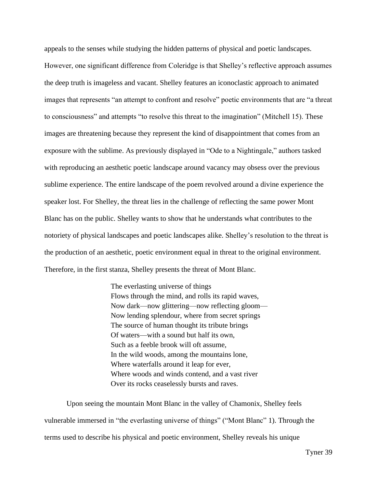appeals to the senses while studying the hidden patterns of physical and poetic landscapes. However, one significant difference from Coleridge is that Shelley's reflective approach assumes the deep truth is imageless and vacant. Shelley features an iconoclastic approach to animated images that represents "an attempt to confront and resolve" poetic environments that are "a threat to consciousness" and attempts "to resolve this threat to the imagination" (Mitchell 15). These images are threatening because they represent the kind of disappointment that comes from an exposure with the sublime. As previously displayed in "Ode to a Nightingale," authors tasked with reproducing an aesthetic poetic landscape around vacancy may obsess over the previous sublime experience. The entire landscape of the poem revolved around a divine experience the speaker lost. For Shelley, the threat lies in the challenge of reflecting the same power Mont Blanc has on the public. Shelley wants to show that he understands what contributes to the notoriety of physical landscapes and poetic landscapes alike. Shelley's resolution to the threat is the production of an aesthetic, poetic environment equal in threat to the original environment. Therefore, in the first stanza, Shelley presents the threat of Mont Blanc.

> The everlasting universe of things Flows through the mind, and rolls its rapid waves, Now dark—now glittering—now reflecting gloom— Now lending splendour, where from secret springs The source of human thought its tribute brings Of waters—with a sound but half its own, Such as a feeble brook will oft assume, In the wild woods, among the mountains lone, Where waterfalls around it leap for ever, Where woods and winds contend, and a vast river Over its rocks ceaselessly bursts and raves.

Upon seeing the mountain Mont Blanc in the valley of Chamonix, Shelley feels vulnerable immersed in "the everlasting universe of things" ("Mont Blanc" 1). Through the terms used to describe his physical and poetic environment, Shelley reveals his unique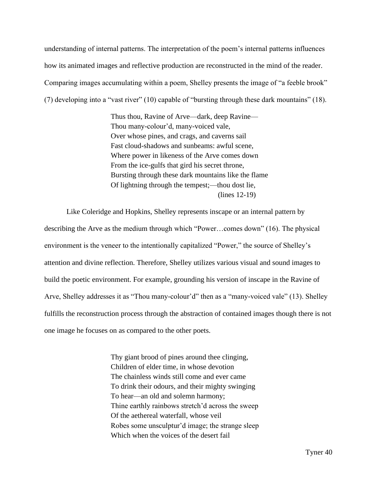understanding of internal patterns. The interpretation of the poem's internal patterns influences how its animated images and reflective production are reconstructed in the mind of the reader. Comparing images accumulating within a poem, Shelley presents the image of "a feeble brook" (7) developing into a "vast river" (10) capable of "bursting through these dark mountains" (18).

> Thus thou, Ravine of Arve—dark, deep Ravine— Thou many-colour'd, many-voiced vale, Over whose pines, and crags, and caverns sail Fast cloud-shadows and sunbeams: awful scene, Where power in likeness of the Arve comes down From the ice-gulfs that gird his secret throne, Bursting through these dark mountains like the flame Of lightning through the tempest;—thou dost lie, (lines 12-19)

Like Coleridge and Hopkins, Shelley represents inscape or an internal pattern by describing the Arve as the medium through which "Power…comes down" (16). The physical environment is the veneer to the intentionally capitalized "Power," the source of Shelley's attention and divine reflection. Therefore, Shelley utilizes various visual and sound images to build the poetic environment. For example, grounding his version of inscape in the Ravine of Arve, Shelley addresses it as "Thou many-colour'd" then as a "many-voiced vale" (13). Shelley fulfills the reconstruction process through the abstraction of contained images though there is not one image he focuses on as compared to the other poets.

> Thy giant brood of pines around thee clinging, Children of elder time, in whose devotion The chainless winds still come and ever came To drink their odours, and their mighty swinging To hear—an old and solemn harmony; Thine earthly rainbows stretch'd across the sweep Of the aethereal waterfall, whose veil Robes some unsculptur'd image; the strange sleep Which when the voices of the desert fail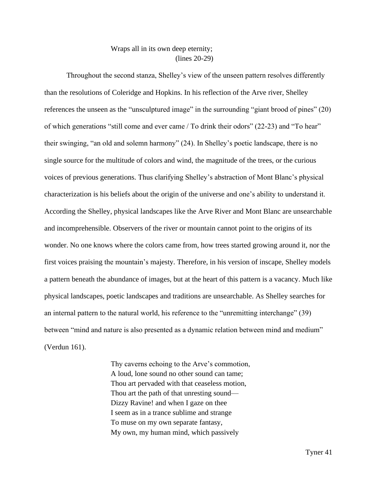## Wraps all in its own deep eternity; (lines 20-29)

Throughout the second stanza, Shelley's view of the unseen pattern resolves differently than the resolutions of Coleridge and Hopkins. In his reflection of the Arve river, Shelley references the unseen as the "unsculptured image" in the surrounding "giant brood of pines" (20) of which generations "still come and ever came / To drink their odors" (22-23) and "To hear" their swinging, "an old and solemn harmony" (24). In Shelley's poetic landscape, there is no single source for the multitude of colors and wind, the magnitude of the trees, or the curious voices of previous generations. Thus clarifying Shelley's abstraction of Mont Blanc's physical characterization is his beliefs about the origin of the universe and one's ability to understand it. According the Shelley, physical landscapes like the Arve River and Mont Blanc are unsearchable and incomprehensible. Observers of the river or mountain cannot point to the origins of its wonder. No one knows where the colors came from, how trees started growing around it, nor the first voices praising the mountain's majesty. Therefore, in his version of inscape, Shelley models a pattern beneath the abundance of images, but at the heart of this pattern is a vacancy. Much like physical landscapes, poetic landscapes and traditions are unsearchable. As Shelley searches for an internal pattern to the natural world, his reference to the "unremitting interchange" (39) between "mind and nature is also presented as a dynamic relation between mind and medium" (Verdun 161).

> Thy caverns echoing to the Arve's commotion, A loud, lone sound no other sound can tame; Thou art pervaded with that ceaseless motion, Thou art the path of that unresting sound— Dizzy Ravine! and when I gaze on thee I seem as in a trance sublime and strange To muse on my own separate fantasy, My own, my human mind, which passively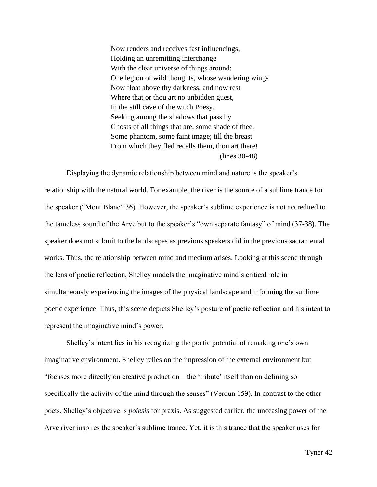Now renders and receives fast influencings, Holding an unremitting interchange With the clear universe of things around; One legion of wild thoughts, whose wandering wings Now float above thy darkness, and now rest Where that or thou art no unbidden guest, In the still cave of the witch Poesy, Seeking among the shadows that pass by Ghosts of all things that are, some shade of thee, Some phantom, some faint image; till the breast From which they fled recalls them, thou art there! (lines 30-48)

Displaying the dynamic relationship between mind and nature is the speaker's relationship with the natural world. For example, the river is the source of a sublime trance for the speaker ("Mont Blanc" 36). However, the speaker's sublime experience is not accredited to the tameless sound of the Arve but to the speaker's "own separate fantasy" of mind (37-38). The speaker does not submit to the landscapes as previous speakers did in the previous sacramental works. Thus, the relationship between mind and medium arises. Looking at this scene through the lens of poetic reflection, Shelley models the imaginative mind's critical role in simultaneously experiencing the images of the physical landscape and informing the sublime poetic experience. Thus, this scene depicts Shelley's posture of poetic reflection and his intent to represent the imaginative mind's power.

Shelley's intent lies in his recognizing the poetic potential of remaking one's own imaginative environment. Shelley relies on the impression of the external environment but "focuses more directly on creative production—the 'tribute' itself than on defining so specifically the activity of the mind through the senses" (Verdun 159). In contrast to the other poets, Shelley's objective is *poiesis* for praxis. As suggested earlier, the unceasing power of the Arve river inspires the speaker's sublime trance. Yet, it is this trance that the speaker uses for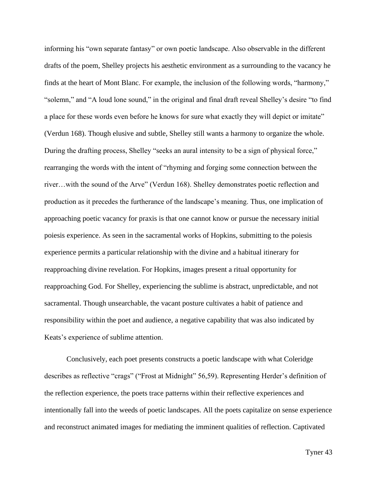informing his "own separate fantasy" or own poetic landscape. Also observable in the different drafts of the poem, Shelley projects his aesthetic environment as a surrounding to the vacancy he finds at the heart of Mont Blanc. For example, the inclusion of the following words, "harmony," "solemn," and "A loud lone sound," in the original and final draft reveal Shelley's desire "to find a place for these words even before he knows for sure what exactly they will depict or imitate" (Verdun 168). Though elusive and subtle, Shelley still wants a harmony to organize the whole. During the drafting process, Shelley "seeks an aural intensity to be a sign of physical force," rearranging the words with the intent of "rhyming and forging some connection between the river…with the sound of the Arve" (Verdun 168). Shelley demonstrates poetic reflection and production as it precedes the furtherance of the landscape's meaning. Thus, one implication of approaching poetic vacancy for praxis is that one cannot know or pursue the necessary initial poiesis experience. As seen in the sacramental works of Hopkins, submitting to the poiesis experience permits a particular relationship with the divine and a habitual itinerary for reapproaching divine revelation. For Hopkins, images present a ritual opportunity for reapproaching God. For Shelley, experiencing the sublime is abstract, unpredictable, and not sacramental. Though unsearchable, the vacant posture cultivates a habit of patience and responsibility within the poet and audience, a negative capability that was also indicated by Keats's experience of sublime attention.

Conclusively, each poet presents constructs a poetic landscape with what Coleridge describes as reflective "crags" ("Frost at Midnight" 56,59). Representing Herder's definition of the reflection experience, the poets trace patterns within their reflective experiences and intentionally fall into the weeds of poetic landscapes. All the poets capitalize on sense experience and reconstruct animated images for mediating the imminent qualities of reflection. Captivated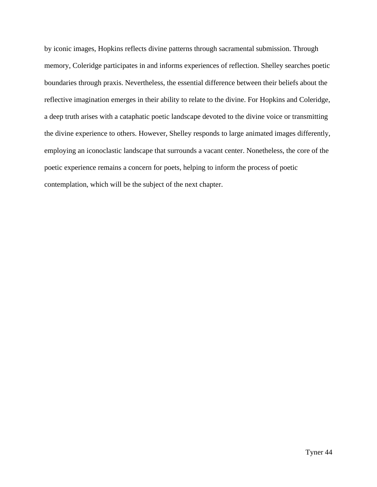by iconic images, Hopkins reflects divine patterns through sacramental submission. Through memory, Coleridge participates in and informs experiences of reflection. Shelley searches poetic boundaries through praxis. Nevertheless, the essential difference between their beliefs about the reflective imagination emerges in their ability to relate to the divine. For Hopkins and Coleridge, a deep truth arises with a cataphatic poetic landscape devoted to the divine voice or transmitting the divine experience to others. However, Shelley responds to large animated images differently, employing an iconoclastic landscape that surrounds a vacant center. Nonetheless, the core of the poetic experience remains a concern for poets, helping to inform the process of poetic contemplation, which will be the subject of the next chapter.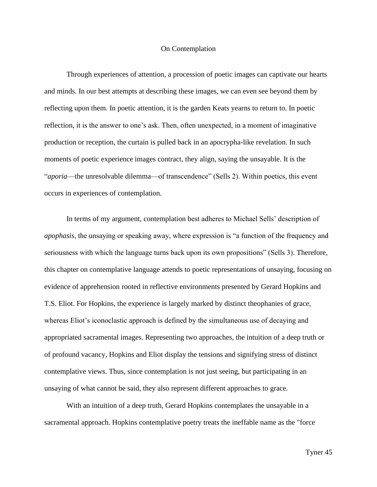## On Contemplation

Through experiences of attention, a procession of poetic images can captivate our hearts and minds. In our best attempts at describing these images, we can even see beyond them by reflecting upon them. In poetic attention, it is the garden Keats yearns to return to. In poetic reflection*,* it is the answer to one's ask. Then, often unexpected, in a moment of imaginative production or reception, the curtain is pulled back in an apocrypha-like revelation. In such moments of poetic experience images contract, they align, saying the unsayable. It is the "*aporia*—the unresolvable dilemma—of transcendence" (Sells 2). Within poetics, this event occurs in experiences of contemplation.

In terms of my argument, contemplation best adheres to Michael Sells' description of *apophasis*, the unsaying or speaking away, where expression is "a function of the frequency and seriousness with which the language turns back upon its own propositions" (Sells 3). Therefore, this chapter on contemplative language attends to poetic representations of unsaying, focusing on evidence of apprehension rooted in reflective environments presented by Gerard Hopkins and T.S. Eliot. For Hopkins, the experience is largely marked by distinct theophanies of grace, whereas Eliot's iconoclastic approach is defined by the simultaneous use of decaying and appropriated sacramental images. Representing two approaches, the intuition of a deep truth or of profound vacancy, Hopkins and Eliot display the tensions and signifying stress of distinct contemplative views. Thus, since contemplation is not just seeing, but participating in an unsaying of what cannot be said, they also represent different approaches to grace.

With an intuition of a deep truth, Gerard Hopkins contemplates the unsayable in a sacramental approach. Hopkins contemplative poetry treats the ineffable name as the "force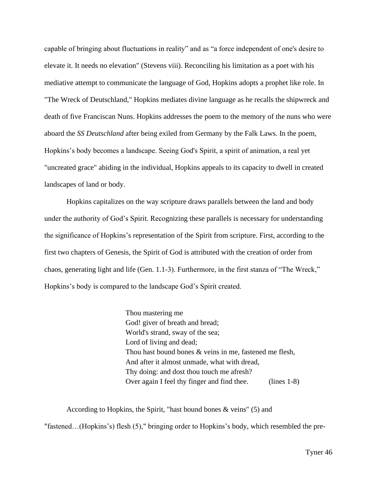capable of bringing about fluctuations in reality" and as "a force independent of one's desire to elevate it. It needs no elevation" (Stevens viii). Reconciling his limitation as a poet with his mediative attempt to communicate the language of God, Hopkins adopts a prophet like role. In "The Wreck of Deutschland," Hopkins mediates divine language as he recalls the shipwreck and death of five Franciscan Nuns. Hopkins addresses the poem to the memory of the nuns who were aboard the *SS Deutschland* after being exiled from Germany by the Falk Laws. In the poem, Hopkins's body becomes a landscape. Seeing God's Spirit, a spirit of animation, a real yet "uncreated grace" abiding in the individual, Hopkins appeals to its capacity to dwell in created landscapes of land or body.

Hopkins capitalizes on the way scripture draws parallels between the land and body under the authority of God's Spirit. Recognizing these parallels is necessary for understanding the significance of Hopkins's representation of the Spirit from scripture. First, according to the first two chapters of Genesis, the Spirit of God is attributed with the creation of order from chaos, generating light and life (Gen. 1.1-3). Furthermore, in the first stanza of "The Wreck," Hopkins's body is compared to the landscape God's Spirit created.

> Thou mastering me God! giver of breath and bread; World's strand, sway of the sea; Lord of living and dead; Thou hast bound bones & veins in me, fastened me flesh, And after it almost unmade, what with dread, Thy doing: and dost thou touch me afresh? Over again I feel thy finger and find thee. (lines 1-8)

According to Hopkins, the Spirit, "hast bound bones & veins" (5) and "fastened…(Hopkins's) flesh (5)," bringing order to Hopkins's body, which resembled the pre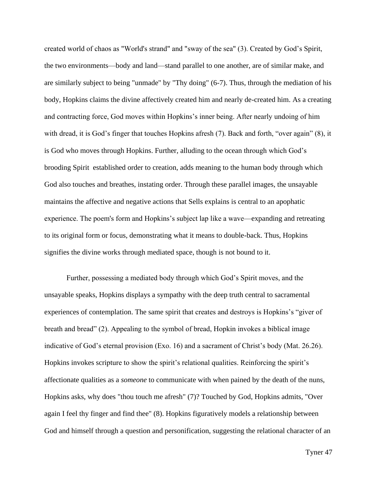created world of chaos as "World's strand" and "sway of the sea" (3). Created by God's Spirit, the two environments—body and land—stand parallel to one another, are of similar make, and are similarly subject to being "unmade" by "Thy doing" (6-7). Thus, through the mediation of his body, Hopkins claims the divine affectively created him and nearly de-created him. As a creating and contracting force, God moves within Hopkins's inner being. After nearly undoing of him with dread, it is God's finger that touches Hopkins afresh (7). Back and forth, "over again" (8), it is God who moves through Hopkins. Further, alluding to the ocean through which God's brooding Spirit established order to creation, adds meaning to the human body through which God also touches and breathes, instating order. Through these parallel images, the unsayable maintains the affective and negative actions that Sells explains is central to an apophatic experience. The poem's form and Hopkins's subject lap like a wave—expanding and retreating to its original form or focus, demonstrating what it means to double-back. Thus, Hopkins signifies the divine works through mediated space, though is not bound to it.

Further, possessing a mediated body through which God's Spirit moves, and the unsayable speaks, Hopkins displays a sympathy with the deep truth central to sacramental experiences of contemplation. The same spirit that creates and destroys is Hopkins's "giver of breath and bread" (2). Appealing to the symbol of bread, Hopkin invokes a biblical image indicative of God's eternal provision (Exo. 16) and a sacrament of Christ's body (Mat. 26.26). Hopkins invokes scripture to show the spirit's relational qualities. Reinforcing the spirit's affectionate qualities as a *someone* to communicate with when pained by the death of the nuns, Hopkins asks, why does "thou touch me afresh" (7)? Touched by God, Hopkins admits, "Over again I feel thy finger and find thee" (8). Hopkins figuratively models a relationship between God and himself through a question and personification, suggesting the relational character of an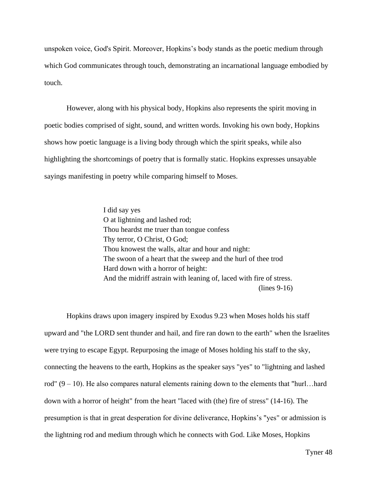unspoken voice, God's Spirit. Moreover, Hopkins's body stands as the poetic medium through which God communicates through touch, demonstrating an incarnational language embodied by touch.

However, along with his physical body, Hopkins also represents the spirit moving in poetic bodies comprised of sight, sound, and written words. Invoking his own body, Hopkins shows how poetic language is a living body through which the spirit speaks, while also highlighting the shortcomings of poetry that is formally static. Hopkins expresses unsayable sayings manifesting in poetry while comparing himself to Moses.

> I did say yes O at lightning and lashed rod; Thou heardst me truer than tongue confess Thy terror, O Christ, O God; Thou knowest the walls, altar and hour and night: The swoon of a heart that the sweep and the hurl of thee trod Hard down with a horror of height: And the midriff astrain with leaning of, laced with fire of stress. (lines 9-16)

Hopkins draws upon imagery inspired by Exodus 9.23 when Moses holds his staff upward and "the LORD sent thunder and hail, and fire ran down to the earth" when the Israelites were trying to escape Egypt. Repurposing the image of Moses holding his staff to the sky, connecting the heavens to the earth, Hopkins as the speaker says "yes" to "lightning and lashed rod"  $(9 - 10)$ . He also compares natural elements raining down to the elements that "hurl...hard down with a horror of height" from the heart "laced with (the) fire of stress" (14-16). The presumption is that in great desperation for divine deliverance, Hopkins's "yes" or admission is the lightning rod and medium through which he connects with God. Like Moses, Hopkins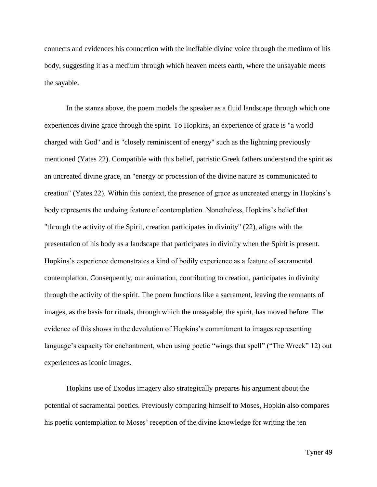connects and evidences his connection with the ineffable divine voice through the medium of his body, suggesting it as a medium through which heaven meets earth, where the unsayable meets the sayable.

In the stanza above, the poem models the speaker as a fluid landscape through which one experiences divine grace through the spirit. To Hopkins, an experience of grace is "a world charged with God" and is "closely reminiscent of energy" such as the lightning previously mentioned (Yates 22). Compatible with this belief, patristic Greek fathers understand the spirit as an uncreated divine grace, an "energy or procession of the divine nature as communicated to creation" (Yates 22). Within this context, the presence of grace as uncreated energy in Hopkins's body represents the undoing feature of contemplation. Nonetheless, Hopkins's belief that "through the activity of the Spirit, creation participates in divinity" (22), aligns with the presentation of his body as a landscape that participates in divinity when the Spirit is present. Hopkins's experience demonstrates a kind of bodily experience as a feature of sacramental contemplation. Consequently, our animation, contributing to creation, participates in divinity through the activity of the spirit. The poem functions like a sacrament, leaving the remnants of images, as the basis for rituals, through which the unsayable, the spirit, has moved before. The evidence of this shows in the devolution of Hopkins's commitment to images representing language's capacity for enchantment, when using poetic "wings that spell" ("The Wreck" 12) out experiences as iconic images.

Hopkins use of Exodus imagery also strategically prepares his argument about the potential of sacramental poetics. Previously comparing himself to Moses, Hopkin also compares his poetic contemplation to Moses' reception of the divine knowledge for writing the ten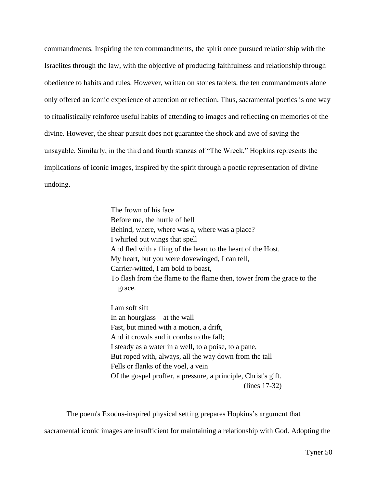commandments. Inspiring the ten commandments, the spirit once pursued relationship with the Israelites through the law, with the objective of producing faithfulness and relationship through obedience to habits and rules. However, written on stones tablets, the ten commandments alone only offered an iconic experience of attention or reflection. Thus, sacramental poetics is one way to ritualistically reinforce useful habits of attending to images and reflecting on memories of the divine. However, the shear pursuit does not guarantee the shock and awe of saying the unsayable. Similarly, in the third and fourth stanzas of "The Wreck," Hopkins represents the implications of iconic images, inspired by the spirit through a poetic representation of divine undoing.

> The frown of his face Before me, the hurtle of hell Behind, where, where was a, where was a place? I whirled out wings that spell And fled with a fling of the heart to the heart of the Host. My heart, but you were dovewinged, I can tell, Carrier-witted, I am bold to boast, To flash from the flame to the flame then, tower from the grace to the grace.

I am soft sift In an hourglass—at the wall Fast, but mined with a motion, a drift, And it crowds and it combs to the fall; I steady as a water in a well, to a poise, to a pane, But roped with, always, all the way down from the tall Fells or flanks of the voel, a vein Of the gospel proffer, a pressure, a principle, Christ's gift. (lines 17-32)

The poem's Exodus-inspired physical setting prepares Hopkins's argument that

sacramental iconic images are insufficient for maintaining a relationship with God. Adopting the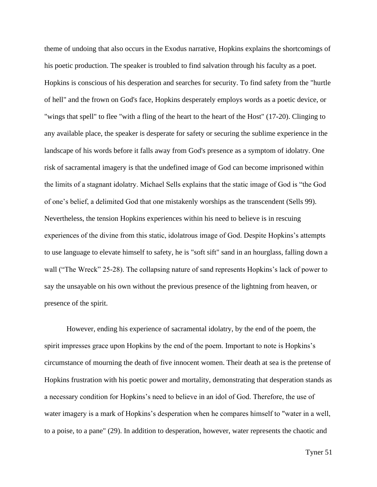theme of undoing that also occurs in the Exodus narrative, Hopkins explains the shortcomings of his poetic production. The speaker is troubled to find salvation through his faculty as a poet. Hopkins is conscious of his desperation and searches for security. To find safety from the "hurtle of hell" and the frown on God's face, Hopkins desperately employs words as a poetic device, or "wings that spell" to flee "with a fling of the heart to the heart of the Host" (17-20). Clinging to any available place, the speaker is desperate for safety or securing the sublime experience in the landscape of his words before it falls away from God's presence as a symptom of idolatry. One risk of sacramental imagery is that the undefined image of God can become imprisoned within the limits of a stagnant idolatry. Michael Sells explains that the static image of God is "the God of one's belief, a delimited God that one mistakenly worships as the transcendent (Sells 99). Nevertheless, the tension Hopkins experiences within his need to believe is in rescuing experiences of the divine from this static, idolatrous image of God. Despite Hopkins's attempts to use language to elevate himself to safety, he is "soft sift" sand in an hourglass, falling down a wall ("The Wreck" 25-28). The collapsing nature of sand represents Hopkins's lack of power to say the unsayable on his own without the previous presence of the lightning from heaven, or presence of the spirit.

However, ending his experience of sacramental idolatry, by the end of the poem, the spirit impresses grace upon Hopkins by the end of the poem. Important to note is Hopkins's circumstance of mourning the death of five innocent women. Their death at sea is the pretense of Hopkins frustration with his poetic power and mortality, demonstrating that desperation stands as a necessary condition for Hopkins's need to believe in an idol of God. Therefore, the use of water imagery is a mark of Hopkins's desperation when he compares himself to "water in a well, to a poise, to a pane" (29). In addition to desperation, however, water represents the chaotic and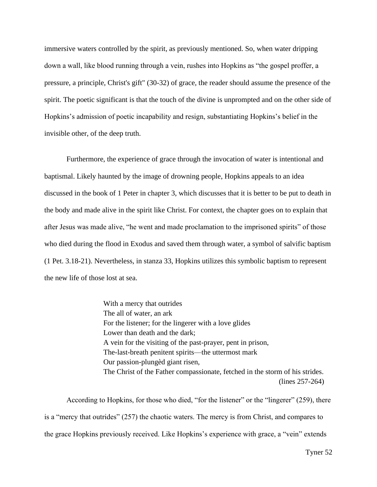immersive waters controlled by the spirit, as previously mentioned. So, when water dripping down a wall, like blood running through a vein, rushes into Hopkins as "the gospel proffer, a pressure, a principle, Christ's gift" (30-32) of grace, the reader should assume the presence of the spirit. The poetic significant is that the touch of the divine is unprompted and on the other side of Hopkins's admission of poetic incapability and resign, substantiating Hopkins's belief in the invisible other, of the deep truth.

Furthermore, the experience of grace through the invocation of water is intentional and baptismal. Likely haunted by the image of drowning people, Hopkins appeals to an idea discussed in the book of 1 Peter in chapter 3, which discusses that it is better to be put to death in the body and made alive in the spirit like Christ. For context, the chapter goes on to explain that after Jesus was made alive, "he went and made proclamation to the imprisoned spirits" of those who died during the flood in Exodus and saved them through water, a symbol of salvific baptism (1 Pet. 3.18-21). Nevertheless, in stanza 33, Hopkins utilizes this symbolic baptism to represent the new life of those lost at sea.

> With a mercy that outrides The all of water, an ark For the listener; for the lingerer with a love glides Lower than death and the dark; A vein for the visiting of the past-prayer, pent in prison, The-last-breath penitent spirits—the uttermost mark Our passion-plungèd giant risen, The Christ of the Father compassionate, fetched in the storm of his strides. (lines 257-264)

According to Hopkins, for those who died, "for the listener" or the "lingerer" (259), there is a "mercy that outrides" (257) the chaotic waters. The mercy is from Christ, and compares to the grace Hopkins previously received. Like Hopkins's experience with grace, a "vein" extends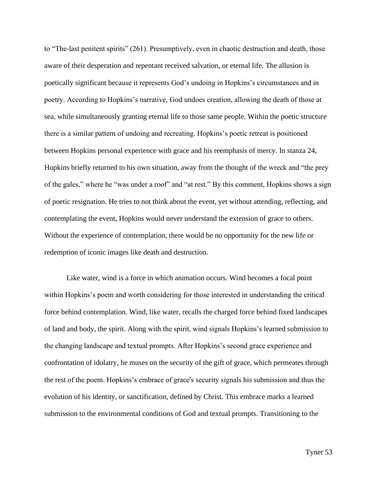to "The-last penitent spirits" (261). Presumptively, even in chaotic destruction and death, those aware of their desperation and repentant received salvation, or eternal life. The allusion is poetically significant because it represents God's undoing in Hopkins's circumstances and in poetry. According to Hopkins's narrative, God undoes creation, allowing the death of those at sea, while simultaneously granting eternal life to those same people. Within the poetic structure there is a similar pattern of undoing and recreating. Hopkins's poetic retreat is positioned between Hopkins personal experience with grace and his reemphasis of mercy. In stanza 24, Hopkins briefly returned to his own situation, away from the thought of the wreck and "the prey of the gales," where he "was under a roof" and "at rest." By this comment, Hopkins shows a sign of poetic resignation. He tries to not think about the event, yet without attending, reflecting, and contemplating the event, Hopkins would never understand the extension of grace to others. Without the experience of contemplation, there would be no opportunity for the new life or redemption of iconic images like death and destruction.

Like water, wind is a force in which animation occurs. Wind becomes a focal point within Hopkins's poem and worth considering for those interested in understanding the critical force behind contemplation. Wind, like water, recalls the charged force behind fixed landscapes of land and body, the spirit. Along with the spirit, wind signals Hopkins's learned submission to the changing landscape and textual prompts. After Hopkins's second grace experience and confrontation of idolatry, he muses on the security of the gift of grace, which permeates through the rest of the poem. Hopkins's embrace of grace's security signals his submission and thus the evolution of his identity, or sanctification, defined by Christ. This embrace marks a learned submission to the environmental conditions of God and textual prompts. Transitioning to the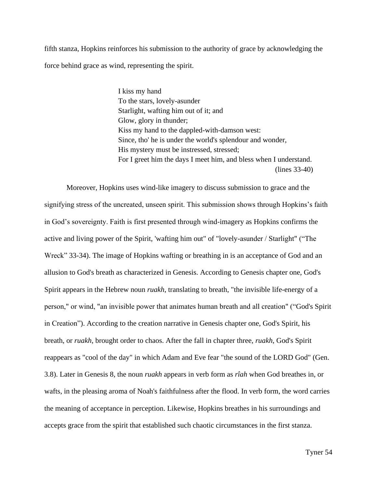fifth stanza, Hopkins reinforces his submission to the authority of grace by acknowledging the force behind grace as wind, representing the spirit.

> I kiss my hand To the stars, lovely-asunder Starlight, wafting him out of it; and Glow, glory in thunder; Kiss my hand to the dappled-with-damson west: Since, tho' he is under the world's splendour and wonder, His mystery must be instressed, stressed; For I greet him the days I meet him, and bless when I understand. (lines 33-40)

Moreover, Hopkins uses wind-like imagery to discuss submission to grace and the signifying stress of the uncreated, unseen spirit. This submission shows through Hopkins's faith in God's sovereignty. Faith is first presented through wind-imagery as Hopkins confirms the active and living power of the Spirit, 'wafting him out" of "lovely-asunder / Starlight" ("The Wreck" 33-34). The image of Hopkins wafting or breathing in is an acceptance of God and an allusion to God's breath as characterized in Genesis. According to Genesis chapter one, God's Spirit appears in the Hebrew noun *ruakh*, translating to breath, "the invisible life-energy of a person," or wind, "an invisible power that animates human breath and all creation" ("God's Spirit in Creation"). According to the creation narrative in Genesis chapter one, God's Spirit, his breath, or *ruakh*, brought order to chaos. After the fall in chapter three, *ruakh*, God's Spirit reappears as "cool of the day" in which Adam and Eve fear "the sound of the LORD God" (Gen. 3.8). Later in Genesis 8, the noun *ruakh* appears in verb form as *rîah* when God breathes in, or wafts, in the pleasing aroma of Noah's faithfulness after the flood. In verb form, the word carries the meaning of acceptance in perception. Likewise, Hopkins breathes in his surroundings and accepts grace from the spirit that established such chaotic circumstances in the first stanza.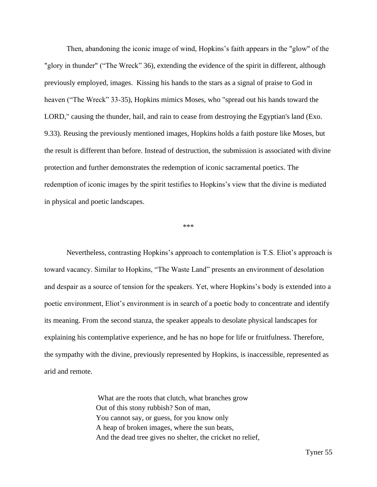Then, abandoning the iconic image of wind, Hopkins's faith appears in the "glow" of the "glory in thunder" ("The Wreck" 36), extending the evidence of the spirit in different, although previously employed, images. Kissing his hands to the stars as a signal of praise to God in heaven ("The Wreck" 33-35), Hopkins mimics Moses, who "spread out his hands toward the LORD," causing the thunder, hail, and rain to cease from destroying the Egyptian's land (Exo. 9.33). Reusing the previously mentioned images, Hopkins holds a faith posture like Moses, but the result is different than before. Instead of destruction, the submission is associated with divine protection and further demonstrates the redemption of iconic sacramental poetics. The redemption of iconic images by the spirit testifies to Hopkins's view that the divine is mediated in physical and poetic landscapes.

## \*\*\*

Nevertheless, contrasting Hopkins's approach to contemplation is T.S. Eliot's approach is toward vacancy. Similar to Hopkins, "The Waste Land" presents an environment of desolation and despair as a source of tension for the speakers. Yet, where Hopkins's body is extended into a poetic environment, Eliot's environment is in search of a poetic body to concentrate and identify its meaning. From the second stanza, the speaker appeals to desolate physical landscapes for explaining his contemplative experience, and he has no hope for life or fruitfulness. Therefore, the sympathy with the divine, previously represented by Hopkins, is inaccessible, represented as arid and remote.

> What are the roots that clutch, what branches grow Out of this stony rubbish? Son of man, You cannot say, or guess, for you know only A heap of broken images, where the sun beats, And the dead tree gives no shelter, the cricket no relief,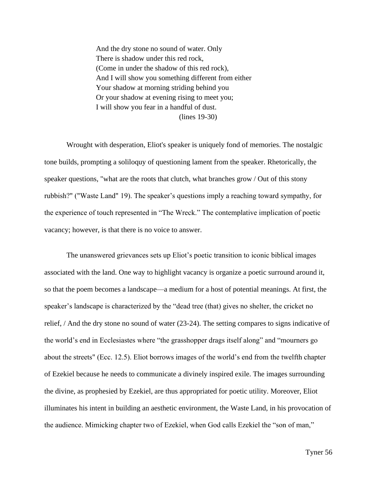And the dry stone no sound of water. Only There is shadow under this red rock, (Come in under the shadow of this red rock), And I will show you something different from either Your shadow at morning striding behind you Or your shadow at evening rising to meet you; I will show you fear in a handful of dust. (lines 19-30)

Wrought with desperation, Eliot's speaker is uniquely fond of memories. The nostalgic tone builds, prompting a soliloquy of questioning lament from the speaker. Rhetorically, the speaker questions, "what are the roots that clutch, what branches grow / Out of this stony rubbish?" ("Waste Land" 19). The speaker's questions imply a reaching toward sympathy, for the experience of touch represented in "The Wreck." The contemplative implication of poetic vacancy; however, is that there is no voice to answer.

The unanswered grievances sets up Eliot's poetic transition to iconic biblical images associated with the land. One way to highlight vacancy is organize a poetic surround around it, so that the poem becomes a landscape—a medium for a host of potential meanings. At first, the speaker's landscape is characterized by the "dead tree (that) gives no shelter, the cricket no relief, / And the dry stone no sound of water (23-24). The setting compares to signs indicative of the world's end in Ecclesiastes where "the grasshopper drags itself along" and "mourners go about the streets" (Ecc. 12.5). Eliot borrows images of the world's end from the twelfth chapter of Ezekiel because he needs to communicate a divinely inspired exile. The images surrounding the divine, as prophesied by Ezekiel, are thus appropriated for poetic utility. Moreover, Eliot illuminates his intent in building an aesthetic environment, the Waste Land, in his provocation of the audience. Mimicking chapter two of Ezekiel, when God calls Ezekiel the "son of man,"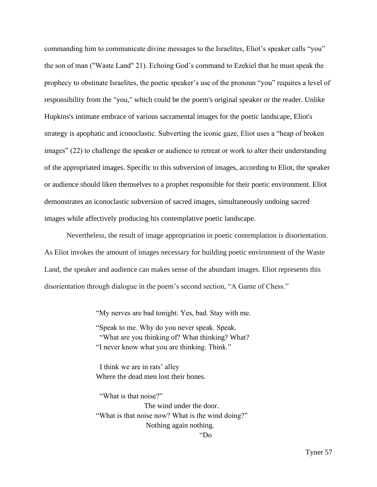commanding him to communicate divine messages to the Israelites, Eliot's speaker calls "you" the son of man ("Waste Land" 21). Echoing God's command to Ezekiel that he must speak the prophecy to obstinate Israelites, the poetic speaker's use of the pronoun "you" requires a level of responsibility from the "you," which could be the poem's original speaker or the reader. Unlike Hopkins's intimate embrace of various sacramental images for the poetic landscape, Eliot's strategy is apophatic and iconoclastic. Subverting the iconic gaze, Eliot uses a "heap of broken images" (22) to challenge the speaker or audience to retreat or work to alter their understanding of the appropriated images. Specific to this subversion of images, according to Eliot, the speaker or audience should liken themselves to a prophet responsible for their poetic environment. Eliot demonstrates an iconoclastic subversion of sacred images, simultaneously undoing sacred images while affectively producing his contemplative poetic landscape.

Nevertheless, the result of image appropriation in poetic contemplation is disorientation. As Eliot invokes the amount of images necessary for building poetic environment of the Waste Land, the speaker and audience can makes sense of the abundant images. Eliot represents this disorientation through dialogue in the poem's second section, "A Game of Chess."

"My nerves are bad tonight. Yes, bad. Stay with me.

"Speak to me. Why do you never speak. Speak. "What are you thinking of? What thinking? What? "I never know what you are thinking. Think."

I think we are in rats' alley Where the dead men lost their bones.

"What is that noise?" The wind under the door. "What is that noise now? What is the wind doing?" Nothing again nothing.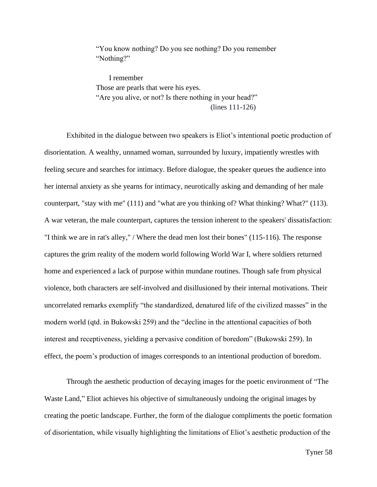"You know nothing? Do you see nothing? Do you remember "Nothing?"

 I remember Those are pearls that were his eyes. "Are you alive, or not? Is there nothing in your head?" (lines 111-126)

Exhibited in the dialogue between two speakers is Eliot's intentional poetic production of disorientation. A wealthy, unnamed woman, surrounded by luxury, impatiently wrestles with feeling secure and searches for intimacy. Before dialogue, the speaker queues the audience into her internal anxiety as she yearns for intimacy, neurotically asking and demanding of her male counterpart, "stay with me" (111) and "what are you thinking of? What thinking? What?" (113). A war veteran, the male counterpart, captures the tension inherent to the speakers' dissatisfaction: "I think we are in rat's alley," / Where the dead men lost their bones" (115-116). The response captures the grim reality of the modern world following World War I, where soldiers returned home and experienced a lack of purpose within mundane routines. Though safe from physical violence, both characters are self-involved and disillusioned by their internal motivations. Their uncorrelated remarks exemplify "the standardized, denatured life of the civilized masses" in the modern world (qtd. in Bukowski 259) and the "decline in the attentional capacities of both interest and receptiveness, yielding a pervasive condition of boredom" (Bukowski 259). In effect, the poem's production of images corresponds to an intentional production of boredom.

Through the aesthetic production of decaying images for the poetic environment of "The Waste Land," Eliot achieves his objective of simultaneously undoing the original images by creating the poetic landscape. Further, the form of the dialogue compliments the poetic formation of disorientation, while visually highlighting the limitations of Eliot's aesthetic production of the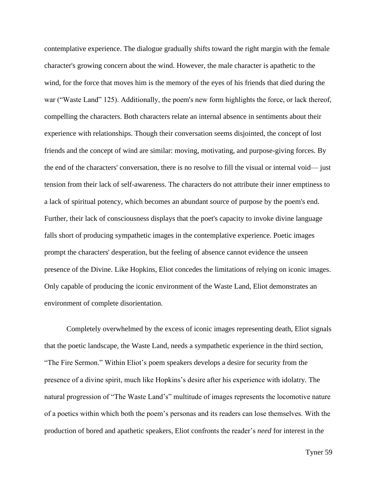contemplative experience. The dialogue gradually shifts toward the right margin with the female character's growing concern about the wind. However, the male character is apathetic to the wind, for the force that moves him is the memory of the eyes of his friends that died during the war ("Waste Land" 125). Additionally, the poem's new form highlights the force, or lack thereof, compelling the characters. Both characters relate an internal absence in sentiments about their experience with relationships. Though their conversation seems disjointed, the concept of lost friends and the concept of wind are similar: moving, motivating, and purpose-giving forces. By the end of the characters' conversation, there is no resolve to fill the visual or internal void— just tension from their lack of self-awareness. The characters do not attribute their inner emptiness to a lack of spiritual potency, which becomes an abundant source of purpose by the poem's end. Further, their lack of consciousness displays that the poet's capacity to invoke divine language falls short of producing sympathetic images in the contemplative experience. Poetic images prompt the characters' desperation, but the feeling of absence cannot evidence the unseen presence of the Divine. Like Hopkins, Eliot concedes the limitations of relying on iconic images. Only capable of producing the iconic environment of the Waste Land, Eliot demonstrates an environment of complete disorientation.

Completely overwhelmed by the excess of iconic images representing death, Eliot signals that the poetic landscape, the Waste Land, needs a sympathetic experience in the third section, "The Fire Sermon." Within Eliot's poem speakers develops a desire for security from the presence of a divine spirit, much like Hopkins's desire after his experience with idolatry. The natural progression of "The Waste Land's" multitude of images represents the locomotive nature of a poetics within which both the poem's personas and its readers can lose themselves. With the production of bored and apathetic speakers, Eliot confronts the reader's *need* for interest in the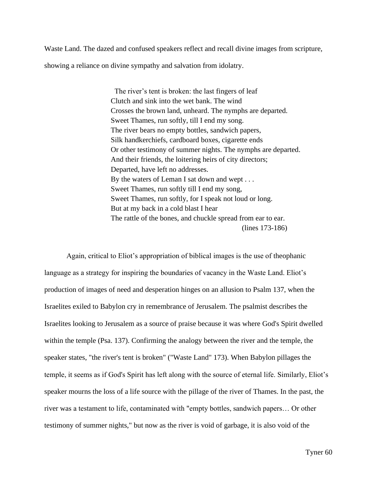Waste Land. The dazed and confused speakers reflect and recall divine images from scripture, showing a reliance on divine sympathy and salvation from idolatry.

> The river's tent is broken: the last fingers of leaf Clutch and sink into the wet bank. The wind Crosses the brown land, unheard. The nymphs are departed. Sweet Thames, run softly, till I end my song. The river bears no empty bottles, sandwich papers, Silk handkerchiefs, cardboard boxes, cigarette ends Or other testimony of summer nights. The nymphs are departed. And their friends, the loitering heirs of city directors; Departed, have left no addresses. By the waters of Leman I sat down and wept . . . Sweet Thames, run softly till I end my song, Sweet Thames, run softly, for I speak not loud or long. But at my back in a cold blast I hear The rattle of the bones, and chuckle spread from ear to ear. (lines 173-186)

Again, critical to Eliot's appropriation of biblical images is the use of theophanic language as a strategy for inspiring the boundaries of vacancy in the Waste Land. Eliot's production of images of need and desperation hinges on an allusion to Psalm 137, when the Israelites exiled to Babylon cry in remembrance of Jerusalem. The psalmist describes the Israelites looking to Jerusalem as a source of praise because it was where God's Spirit dwelled within the temple (Psa. 137). Confirming the analogy between the river and the temple, the speaker states, "the river's tent is broken" ("Waste Land" 173). When Babylon pillages the temple, it seems as if God's Spirit has left along with the source of eternal life. Similarly, Eliot's speaker mourns the loss of a life source with the pillage of the river of Thames. In the past, the river was a testament to life, contaminated with "empty bottles, sandwich papers… Or other testimony of summer nights," but now as the river is void of garbage, it is also void of the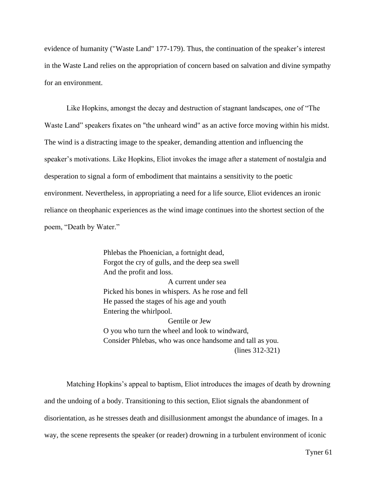evidence of humanity ("Waste Land" 177-179). Thus, the continuation of the speaker's interest in the Waste Land relies on the appropriation of concern based on salvation and divine sympathy for an environment.

Like Hopkins, amongst the decay and destruction of stagnant landscapes, one of "The Waste Land" speakers fixates on "the unheard wind" as an active force moving within his midst. The wind is a distracting image to the speaker, demanding attention and influencing the speaker's motivations. Like Hopkins, Eliot invokes the image after a statement of nostalgia and desperation to signal a form of embodiment that maintains a sensitivity to the poetic environment. Nevertheless, in appropriating a need for a life source, Eliot evidences an ironic reliance on theophanic experiences as the wind image continues into the shortest section of the poem, "Death by Water."

> Phlebas the Phoenician, a fortnight dead, Forgot the cry of gulls, and the deep sea swell And the profit and loss. A current under sea Picked his bones in whispers. As he rose and fell He passed the stages of his age and youth Entering the whirlpool. Gentile or Jew O you who turn the wheel and look to windward, Consider Phlebas, who was once handsome and tall as you. (lines 312-321)

Matching Hopkins's appeal to baptism, Eliot introduces the images of death by drowning and the undoing of a body. Transitioning to this section, Eliot signals the abandonment of disorientation, as he stresses death and disillusionment amongst the abundance of images. In a way, the scene represents the speaker (or reader) drowning in a turbulent environment of iconic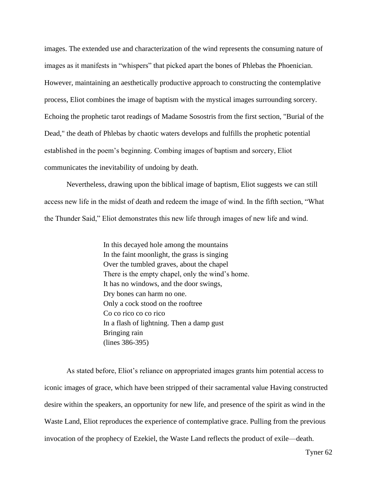images. The extended use and characterization of the wind represents the consuming nature of images as it manifests in "whispers" that picked apart the bones of Phlebas the Phoenician. However, maintaining an aesthetically productive approach to constructing the contemplative process, Eliot combines the image of baptism with the mystical images surrounding sorcery. Echoing the prophetic tarot readings of Madame Sosostris from the first section, "Burial of the Dead," the death of Phlebas by chaotic waters develops and fulfills the prophetic potential established in the poem's beginning. Combing images of baptism and sorcery, Eliot communicates the inevitability of undoing by death.

Nevertheless, drawing upon the biblical image of baptism, Eliot suggests we can still access new life in the midst of death and redeem the image of wind. In the fifth section, "What the Thunder Said," Eliot demonstrates this new life through images of new life and wind.

> In this decayed hole among the mountains In the faint moonlight, the grass is singing Over the tumbled graves, about the chapel There is the empty chapel, only the wind's home. It has no windows, and the door swings, Dry bones can harm no one. Only a cock stood on the rooftree Co co rico co co rico In a flash of lightning. Then a damp gust Bringing rain (lines 386-395)

As stated before, Eliot's reliance on appropriated images grants him potential access to iconic images of grace, which have been stripped of their sacramental value Having constructed desire within the speakers, an opportunity for new life, and presence of the spirit as wind in the Waste Land, Eliot reproduces the experience of contemplative grace. Pulling from the previous invocation of the prophecy of Ezekiel, the Waste Land reflects the product of exile—death.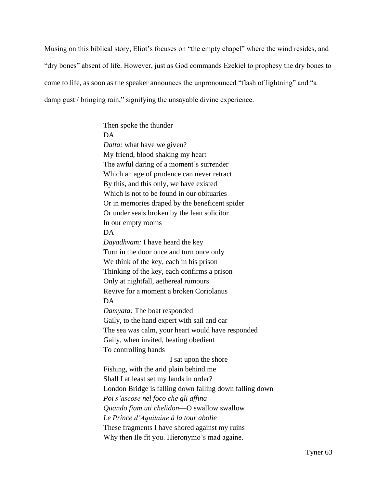Musing on this biblical story, Eliot's focuses on "the empty chapel" where the wind resides, and "dry bones" absent of life. However, just as God commands Ezekiel to prophesy the dry bones to come to life, as soon as the speaker announces the unpronounced "flash of lightning" and "a damp gust / bringing rain," signifying the unsayable divine experience.

> Then spoke the thunder DA *Datta:* what have we given? My friend, blood shaking my heart The awful daring of a moment's surrender Which an age of prudence can never retract By this, and this only, we have existed Which is not to be found in our obituaries Or in memories draped by the beneficent spider Or under seals broken by the lean solicitor In our empty rooms DA *Dayadhvam:* I have heard the key Turn in the door once and turn once only We think of the key, each in his prison Thinking of the key, each confirms a prison Only at nightfall, aethereal rumours Revive for a moment a broken Coriolanus DA *Damyata:* The boat responded Gaily, to the hand expert with sail and oar The sea was calm, your heart would have responded Gaily, when invited, beating obedient To controlling hands I sat upon the shore Fishing, with the arid plain behind me Shall I at least set my lands in order? London Bridge is falling down falling down falling down *Poi s'ascose nel foco che gli affina Quando fiam uti chelidon*—O swallow swallow *Le Prince d'Aquitaine à la tour abolie* These fragments I have shored against my ruins Why then Ile fit you. Hieronymo's mad againe.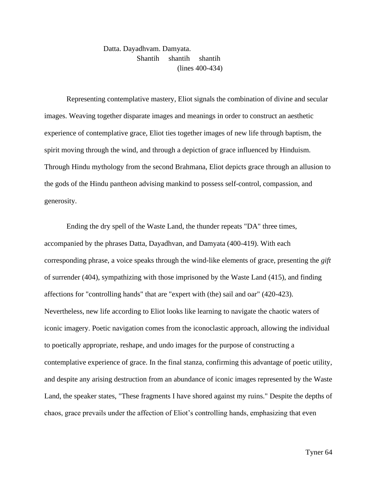Datta. Dayadhvam. Damyata. Shantih shantih shantih (lines 400-434)

Representing contemplative mastery, Eliot signals the combination of divine and secular images. Weaving together disparate images and meanings in order to construct an aesthetic experience of contemplative grace, Eliot ties together images of new life through baptism, the spirit moving through the wind, and through a depiction of grace influenced by Hinduism. Through Hindu mythology from the second Brahmana, Eliot depicts grace through an allusion to the gods of the Hindu pantheon advising mankind to possess self-control, compassion, and generosity.

Ending the dry spell of the Waste Land, the thunder repeats "DA" three times, accompanied by the phrases Datta, Dayadhvan, and Damyata (400-419). With each corresponding phrase, a voice speaks through the wind-like elements of grace, presenting the *gift* of surrender (404), sympathizing with those imprisoned by the Waste Land (415), and finding affections for "controlling hands" that are "expert with (the) sail and oar" (420-423). Nevertheless, new life according to Eliot looks like learning to navigate the chaotic waters of iconic imagery. Poetic navigation comes from the iconoclastic approach, allowing the individual to poetically appropriate, reshape, and undo images for the purpose of constructing a contemplative experience of grace. In the final stanza, confirming this advantage of poetic utility, and despite any arising destruction from an abundance of iconic images represented by the Waste Land, the speaker states, "These fragments I have shored against my ruins." Despite the depths of chaos, grace prevails under the affection of Eliot's controlling hands, emphasizing that even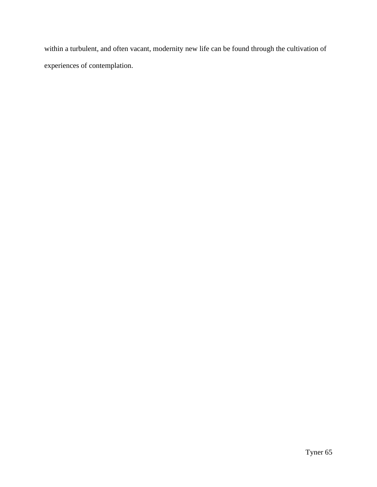within a turbulent, and often vacant, modernity new life can be found through the cultivation of experiences of contemplation.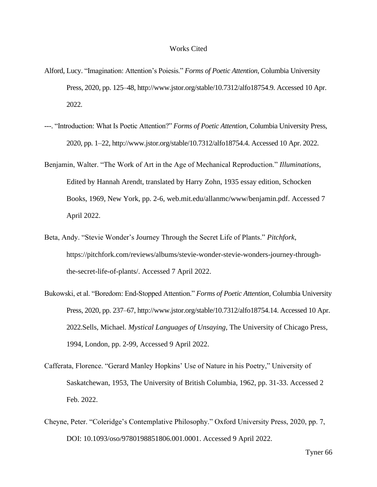## Works Cited

- Alford, Lucy. "Imagination: Attention's Poiesis." *Forms of Poetic Attention*, Columbia University Press, 2020, pp. 125–48, http://www.jstor.org/stable/10.7312/alfo18754.9. Accessed 10 Apr. 2022.
- ---. "Introduction: What Is Poetic Attention?" *Forms of Poetic Attention*, Columbia University Press, 2020, pp. 1–22, http://www.jstor.org/stable/10.7312/alfo18754.4. Accessed 10 Apr. 2022.
- Benjamin, Walter. "The Work of Art in the Age of Mechanical Reproduction." *Illuminations*, Edited by Hannah Arendt, translated by Harry Zohn, 1935 essay edition, Schocken Books, 1969, New York, pp. 2-6, web.mit.edu/allanmc/www/benjamin.pdf. Accessed 7 April 2022.
- Beta, Andy. "Stevie Wonder's Journey Through the Secret Life of Plants." *Pitchfork*, https://pitchfork.com/reviews/albums/stevie-wonder-stevie-wonders-journey-throughthe-secret-life-of-plants/. Accessed 7 April 2022.
- Bukowski, et al. "Boredom: End-Stopped Attention." *Forms of Poetic Attention*, Columbia University Press, 2020, pp. 237–67, http://www.jstor.org/stable/10.7312/alfo18754.14. Accessed 10 Apr. 2022.Sells, Michael. *Mystical Languages of Unsaying*, The University of Chicago Press, 1994, London, pp. 2-99, Accessed 9 April 2022.
- Cafferata, Florence. "Gerard Manley Hopkins' Use of Nature in his Poetry," University of Saskatchewan, 1953, The University of British Columbia, 1962, pp. 31-33. Accessed 2 Feb. 2022.
- Cheyne, Peter. "Coleridge's Contemplative Philosophy." Oxford University Press, 2020, pp. 7, DOI: 10.1093/oso/9780198851806.001.0001. Accessed 9 April 2022.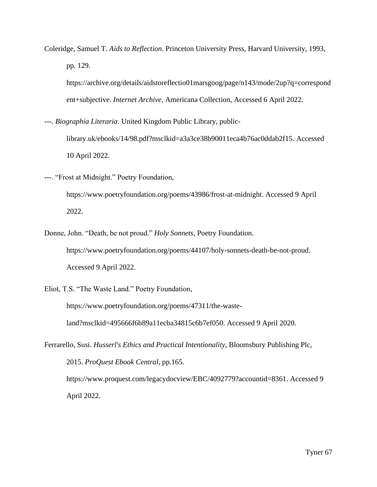Coleridge, Samuel T. *Aids to Reflection*. Princeton University Press, Harvard University, 1993, pp. 129.

https://archive.org/details/aidstoreflectio01marsgoog/page/n143/mode/2up?q=correspond ent+subjective. *Internet Archive*, Americana Collection, Accessed 6 April 2022.

---. *Biographia Literaria*. United Kingdom Public Library, public-

library.uk/ebooks/14/98.pdf?msclkid=a3a3ce38b90011eca4b76ac0ddab2f15. Accessed 10 April 2022.

---. "Frost at Midnight." Poetry Foundation,

https://www.poetryfoundation.org/poems/43986/frost-at-midnight. Accessed 9 April 2022.

Donne, John. "Death, be not proud." *Holy Sonnets*, Poetry Foundation. https://www.poetryfoundation.org/poems/44107/holy-sonnets-death-be-not-proud. Accessed 9 April 2022.

Eliot, T.S. "The Waste Land." Poetry Foundation,

https://www.poetryfoundation.org/poems/47311/the-wasteland?msclkid=495666f6b89a11ecba34815c6b7ef050. Accessed 9 April 2020.

Ferrarello, Susi. *Husserl's Ethics and Practical Intentionality*, Bloomsbury Publishing Plc, 2015. *ProQuest Ebook Central*, pp.165. https://www.proquest.com/legacydocview/EBC/4092779?accountid=8361. Accessed 9 April 2022.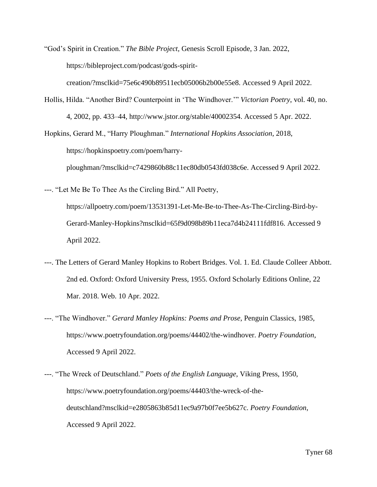"God's Spirit in Creation." *The Bible Project*, Genesis Scroll Episode, 3 Jan. 2022, https://bibleproject.com/podcast/gods-spirit-

creation/?msclkid=75e6c490b89511ecb05006b2b00e55e8. Accessed 9 April 2022.

Hollis, Hilda. "Another Bird? Counterpoint in 'The Windhover.'" *Victorian Poetry*, vol. 40, no. 4, 2002, pp. 433–44, http://www.jstor.org/stable/40002354. Accessed 5 Apr. 2022.

Hopkins, Gerard M., "Harry Ploughman." *International Hopkins Association*, 2018, https://hopkinspoetry.com/poem/harryploughman/?msclkid=c7429860b88c11ec80db0543fd038c6e. Accessed 9 April 2022.

---. "Let Me Be To Thee As the Circling Bird." All Poetry, https://allpoetry.com/poem/13531391-Let-Me-Be-to-Thee-As-The-Circling-Bird-by-Gerard-Manley-Hopkins?msclkid=65f9d098b89b11eca7d4b24111fdf816. Accessed 9 April 2022.

- ---. The Letters of Gerard Manley Hopkins to Robert Bridges. Vol. 1. Ed. Claude Colleer Abbott. 2nd ed. Oxford: Oxford University Press, 1955. Oxford Scholarly Editions Online, 22 Mar. 2018. Web. 10 Apr. 2022.
- ---. "The Windhover." *Gerard Manley Hopkins: Poems and Prose*, Penguin Classics, 1985, https://www.poetryfoundation.org/poems/44402/the-windhover. *Poetry Foundation*, Accessed 9 April 2022.
- ---. "The Wreck of Deutschland." *Poets of the English Language*, Viking Press, 1950, https://www.poetryfoundation.org/poems/44403/the-wreck-of-thedeutschland?msclkid=e2805863b85d11ec9a97b0f7ee5b627c. *Poetry Foundation*, Accessed 9 April 2022.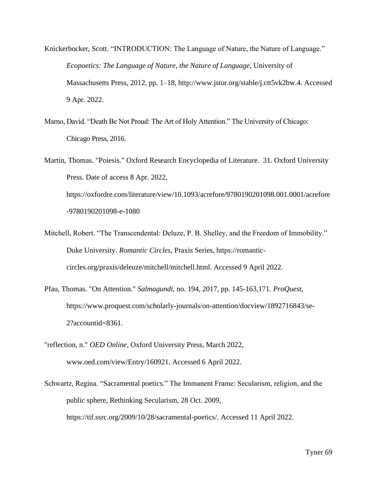Knickerbocker, Scott. "INTRODUCTION: The Language of Nature, the Nature of Language." *Ecopoetics: The Language of Nature, the Nature of Language*, University of Massachusetts Press, 2012, pp. 1–18, http://www.jstor.org/stable/j.ctt5vk2bw.4. Accessed 9 Apr. 2022.

Marno, David. "Death Be Not Proud: The Art of Holy Attention." The University of Chicago: Chicago Press, 2016.

Martin, Thomas. "Poiesis." Oxford Research Encyclopedia of Literature. 31. Oxford University Press. Date of access 8 Apr. 2022, https://oxfordre.com/literature/view/10.1093/acrefore/9780190201098.001.0001/acrefore -9780190201098-e-1080

- Mitchell, Robert. "The Transcendental: Deluze, P. B. Shelley, and the Freedom of Immobility." Duke University. *Romantic Circles*, Praxis Series, https://romanticcircles.org/praxis/deleuze/mitchell/mitchell.html. Accessed 9 April 2022.
- Pfau, Thomas. "On Attention." *Salmagundi*, no. 194, 2017, pp. 145-163,171*. ProQuest*, https://www.proquest.com/scholarly-journals/on-attention/docview/1892716843/se-2?accountid=8361.
- "reflection, n." *OED Online*, Oxford University Press, March 2022, www.oed.com/view/Entry/160921. Accessed 6 April 2022.

Schwartz, Regina. "Sacramental poetics." The Immanent Frame: Secularism, religion, and the public sphere, Rethinking Secularism, 28 Oct. 2009, https://tif.ssrc.org/2009/10/28/sacramental-poetics/. Accessed 11 April 2022.